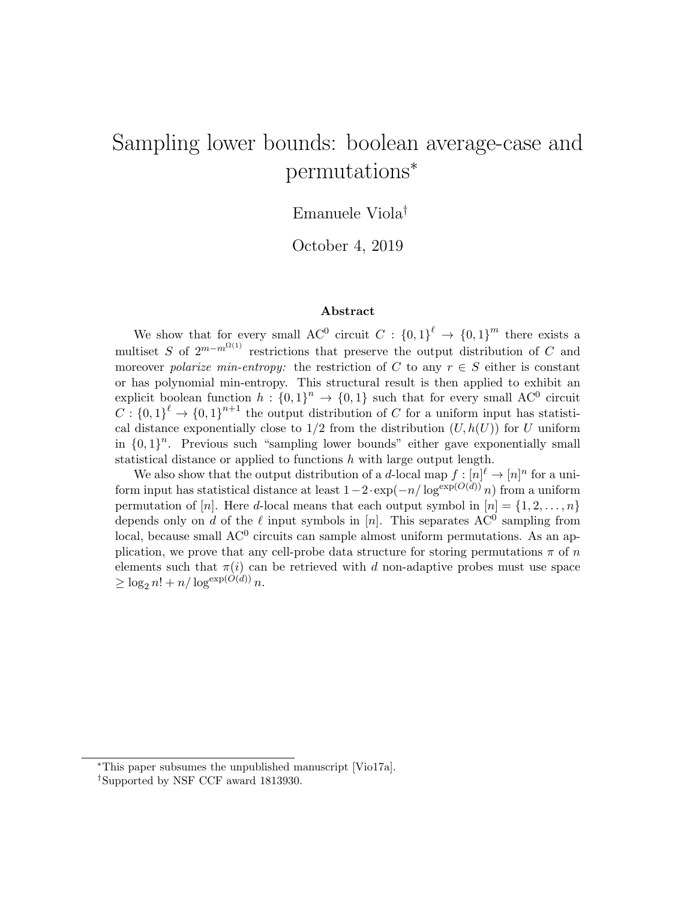# Sampling lower bounds: boolean average-case and permutations<sup>∗</sup>

## Emanuele Viola†

October 4, 2019

#### Abstract

We show that for every small AC<sup>0</sup> circuit  $C: \{0,1\}^{\ell} \to \{0,1\}^m$  there exists a multiset S of  $2^{m-m^{\Omega(1)}}$  restrictions that preserve the output distribution of C and moreover polarize min-entropy: the restriction of C to any  $r \in S$  either is constant or has polynomial min-entropy. This structural result is then applied to exhibit an explicit boolean function  $h: \{0,1\}^n \to \{0,1\}$  such that for every small AC<sup>0</sup> circuit  $C: \{0,1\}^{\ell} \to \{0,1\}^{n+1}$  the output distribution of C for a uniform input has statistical distance exponentially close to  $1/2$  from the distribution  $(U, h(U))$  for U uniform in  $\{0,1\}^n$ . Previous such "sampling lower bounds" either gave exponentially small statistical distance or applied to functions h with large output length.

We also show that the output distribution of a d-local map  $f: [n]^{\ell} \to [n]^n$  for a uniform input has statistical distance at least  $1-2 \cdot \exp(-n/\log^{\exp(O(d))} n)$  from a uniform permutation of [n]. Here d-local means that each output symbol in  $[n] = \{1, 2, \ldots, n\}$ depends only on d of the  $\ell$  input symbols in [n]. This separates AC<sup>0</sup> sampling from local, because small AC<sup>0</sup> circuits can sample almost uniform permutations. As an application, we prove that any cell-probe data structure for storing permutations  $\pi$  of n elements such that  $\pi(i)$  can be retrieved with d non-adaptive probes must use space  $\geq \log_2 n! + n/\log^{\exp(O(d))} n.$ 

<sup>∗</sup>This paper subsumes the unpublished manuscript [Vio17a].

<sup>†</sup>Supported by NSF CCF award 1813930.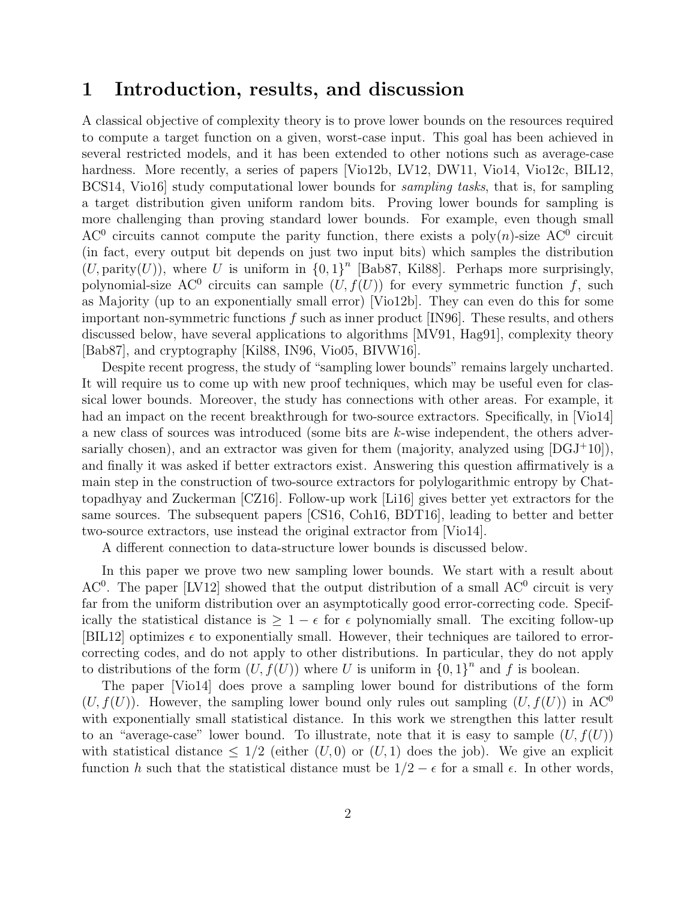### 1 Introduction, results, and discussion

A classical objective of complexity theory is to prove lower bounds on the resources required to compute a target function on a given, worst-case input. This goal has been achieved in several restricted models, and it has been extended to other notions such as average-case hardness. More recently, a series of papers [Vio12b, LV12, DW11, Vio14, Vio12c, BIL12, BCS14, Vio16 study computational lower bounds for *sampling tasks*, that is, for sampling a target distribution given uniform random bits. Proving lower bounds for sampling is more challenging than proving standard lower bounds. For example, even though small AC<sup>0</sup> circuits cannot compute the parity function, there exists a poly $(n)$ -size AC<sup>0</sup> circuit (in fact, every output bit depends on just two input bits) which samples the distribution  $(U,$  parity $(U)$ ), where U is uniform in  ${0,1}^n$  [Bab87, Kil88]. Perhaps more surprisingly, polynomial-size AC<sup>0</sup> circuits can sample  $(U, f(U))$  for every symmetric function f, such as Majority (up to an exponentially small error) [Vio12b]. They can even do this for some important non-symmetric functions  $f$  such as inner product [IN96]. These results, and others discussed below, have several applications to algorithms [MV91, Hag91], complexity theory [Bab87], and cryptography [Kil88, IN96, Vio05, BIVW16].

Despite recent progress, the study of "sampling lower bounds" remains largely uncharted. It will require us to come up with new proof techniques, which may be useful even for classical lower bounds. Moreover, the study has connections with other areas. For example, it had an impact on the recent breakthrough for two-source extractors. Specifically, in [Vio14] a new class of sources was introduced (some bits are k-wise independent, the others adversarially chosen), and an extractor was given for them (majority, analyzed using  $[DGJ+10]$ ), and finally it was asked if better extractors exist. Answering this question affirmatively is a main step in the construction of two-source extractors for polylogarithmic entropy by Chattopadhyay and Zuckerman [CZ16]. Follow-up work [Li16] gives better yet extractors for the same sources. The subsequent papers [CS16, Coh16, BDT16], leading to better and better two-source extractors, use instead the original extractor from [Vio14].

A different connection to data-structure lower bounds is discussed below.

In this paper we prove two new sampling lower bounds. We start with a result about  $AC<sup>0</sup>$ . The paper [LV12] showed that the output distribution of a small  $AC<sup>0</sup>$  circuit is very far from the uniform distribution over an asymptotically good error-correcting code. Specifically the statistical distance is  $\geq 1 - \epsilon$  for  $\epsilon$  polynomially small. The exciting follow-up [BIL12] optimizes  $\epsilon$  to exponentially small. However, their techniques are tailored to errorcorrecting codes, and do not apply to other distributions. In particular, they do not apply to distributions of the form  $(U, f(U))$  where U is uniform in  $\{0, 1\}^n$  and f is boolean.

The paper [Vio14] does prove a sampling lower bound for distributions of the form  $(U, f(U))$ . However, the sampling lower bound only rules out sampling  $(U, f(U))$  in AC<sup>0</sup> with exponentially small statistical distance. In this work we strengthen this latter result to an "average-case" lower bound. To illustrate, note that it is easy to sample  $(U, f(U))$ with statistical distance  $\leq 1/2$  (either  $(U, 0)$  or  $(U, 1)$  does the job). We give an explicit function h such that the statistical distance must be  $1/2 - \epsilon$  for a small  $\epsilon$ . In other words,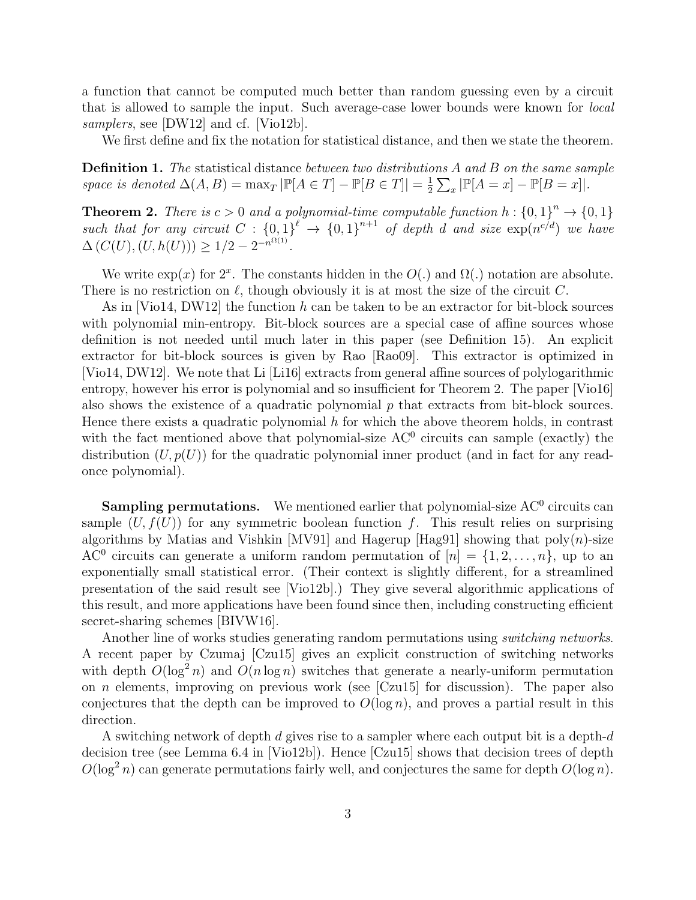a function that cannot be computed much better than random guessing even by a circuit that is allowed to sample the input. Such average-case lower bounds were known for local samplers, see [DW12] and cf. [Vio12b].

We first define and fix the notation for statistical distance, and then we state the theorem.

Definition 1. The statistical distance between two distributions A and B on the same sample space is denoted  $\Delta(A, B) = \max_T |\mathbb{P}[A \in T] - \mathbb{P}[B \in T]| = \frac{1}{2}$  $\frac{1}{2} \sum_x |\mathbb{P}[A = x] - \mathbb{P}[B = x]|.$ 

**Theorem 2.** There is  $c > 0$  and a polynomial-time computable function  $h : \{0,1\}^n \to \{0,1\}$ such that for any circuit  $C: \{0,1\}^{\ell} \to \{0,1\}^{n+1}$  of depth d and size  $\exp(n^{c/d})$  we have  $\Delta(C(U), (U, h(U))) \geq 1/2 - 2^{-n^{\Omega(1)}}.$ 

We write  $\exp(x)$  for  $2^x$ . The constants hidden in the  $O(.)$  and  $\Omega(.)$  notation are absolute. There is no restriction on  $\ell$ , though obviously it is at most the size of the circuit C.

As in  $[Vio14, DW12]$  the function h can be taken to be an extractor for bit-block sources with polynomial min-entropy. Bit-block sources are a special case of affine sources whose definition is not needed until much later in this paper (see Definition 15). An explicit extractor for bit-block sources is given by Rao [Rao09]. This extractor is optimized in [Vio14, DW12]. We note that Li [Li16] extracts from general affine sources of polylogarithmic entropy, however his error is polynomial and so insufficient for Theorem 2. The paper [Vio16] also shows the existence of a quadratic polynomial  $p$  that extracts from bit-block sources. Hence there exists a quadratic polynomial  $h$  for which the above theorem holds, in contrast with the fact mentioned above that polynomial-size  $AC<sup>0</sup>$  circuits can sample (exactly) the distribution  $(U, p(U))$  for the quadratic polynomial inner product (and in fact for any readonce polynomial).

**Sampling permutations.** We mentioned earlier that polynomial-size  $AC^0$  circuits can sample  $(U, f(U))$  for any symmetric boolean function f. This result relies on surprising algorithms by Matias and Vishkin [MV91] and Hagerup [Hag91] showing that  $poly(n)$ -size AC<sup>0</sup> circuits can generate a uniform random permutation of  $[n] = \{1, 2, \ldots, n\}$ , up to an exponentially small statistical error. (Their context is slightly different, for a streamlined presentation of the said result see [Vio12b].) They give several algorithmic applications of this result, and more applications have been found since then, including constructing efficient secret-sharing schemes [BIVW16].

Another line of works studies generating random permutations using *switching networks*. A recent paper by Czumaj [Czu15] gives an explicit construction of switching networks with depth  $O(\log^2 n)$  and  $O(n \log n)$  switches that generate a nearly-uniform permutation on n elements, improving on previous work (see [Czu15] for discussion). The paper also conjectures that the depth can be improved to  $O(\log n)$ , and proves a partial result in this direction.

A switching network of depth d gives rise to a sampler where each output bit is a depth-d decision tree (see Lemma 6.4 in [Vio12b]). Hence [Czu15] shows that decision trees of depth  $O(\log^2 n)$  can generate permutations fairly well, and conjectures the same for depth  $O(\log n)$ .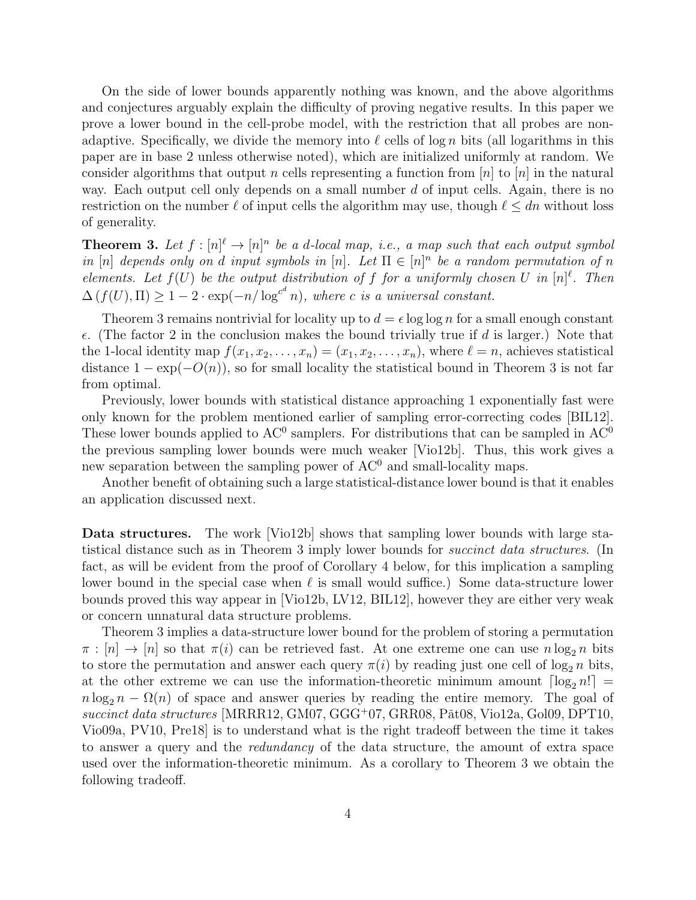On the side of lower bounds apparently nothing was known, and the above algorithms and conjectures arguably explain the difficulty of proving negative results. In this paper we prove a lower bound in the cell-probe model, with the restriction that all probes are nonadaptive. Specifically, we divide the memory into  $\ell$  cells of log n bits (all logarithms in this paper are in base 2 unless otherwise noted), which are initialized uniformly at random. We consider algorithms that output n cells representing a function from  $|n|$  to  $|n|$  in the natural way. Each output cell only depends on a small number  $d$  of input cells. Again, there is no restriction on the number  $\ell$  of input cells the algorithm may use, though  $\ell \leq dn$  without loss of generality.

**Theorem 3.** Let  $f : [n]^{\ell} \to [n]^n$  be a d-local map, i.e., a map such that each output symbol in [n] depends only on d input symbols in [n]. Let  $\Pi \in [n]^n$  be a random permutation of n elements. Let  $f(U)$  be the output distribution of f for a uniformly chosen U in  $[n]^{\ell}$ . Then  $\Delta(f(U), \Pi) \geq 1 - 2 \cdot \exp(-n/\log^{c^d} n)$ , where c is a universal constant.

Theorem 3 remains nontrivial for locality up to  $d = \epsilon \log \log n$  for a small enough constant  $\epsilon$ . (The factor 2 in the conclusion makes the bound trivially true if d is larger.) Note that the 1-local identity map  $f(x_1, x_2, \ldots, x_n) = (x_1, x_2, \ldots, x_n)$ , where  $\ell = n$ , achieves statistical distance  $1 - \exp(-O(n))$ , so for small locality the statistical bound in Theorem 3 is not far from optimal.

Previously, lower bounds with statistical distance approaching 1 exponentially fast were only known for the problem mentioned earlier of sampling error-correcting codes [BIL12]. These lower bounds applied to  $AC<sup>0</sup>$  samplers. For distributions that can be sampled in  $AC<sup>0</sup>$ the previous sampling lower bounds were much weaker [Vio12b]. Thus, this work gives a new separation between the sampling power of  $AC<sup>0</sup>$  and small-locality maps.

Another benefit of obtaining such a large statistical-distance lower bound is that it enables an application discussed next.

Data structures. The work [Vio12b] shows that sampling lower bounds with large statistical distance such as in Theorem 3 imply lower bounds for succinct data structures. (In fact, as will be evident from the proof of Corollary 4 below, for this implication a sampling lower bound in the special case when  $\ell$  is small would suffice.) Some data-structure lower bounds proved this way appear in [Vio12b, LV12, BIL12], however they are either very weak or concern unnatural data structure problems.

Theorem 3 implies a data-structure lower bound for the problem of storing a permutation  $\pi : [n] \to [n]$  so that  $\pi(i)$  can be retrieved fast. At one extreme one can use  $n \log_2 n$  bits to store the permutation and answer each query  $\pi(i)$  by reading just one cell of  $\log_2 n$  bits, at the other extreme we can use the information-theoretic minimum amount  $\lceil \log_2 n! \rceil$  =  $n \log_2 n - \Omega(n)$  of space and answer queries by reading the entire memory. The goal of succinct data structures [MRRR12, GM07, GGG<sup>+</sup>07, GRR08, P $\tilde{a}t08$ , Vio12a, Gol09, DPT10, Vio09a, PV10, Pre18] is to understand what is the right tradeoff between the time it takes to answer a query and the redundancy of the data structure, the amount of extra space used over the information-theoretic minimum. As a corollary to Theorem 3 we obtain the following tradeoff.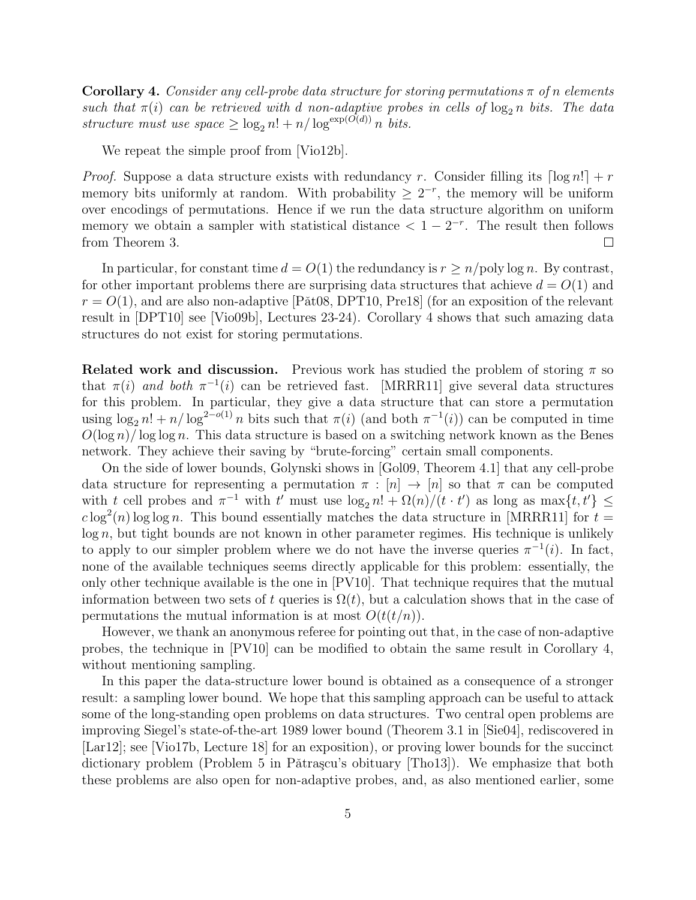**Corollary 4.** Consider any cell-probe data structure for storing permutations  $\pi$  of n elements such that  $\pi(i)$  can be retrieved with d non-adaptive probes in cells of  $\log_2 n$  bits. The data structure must use  $space \geq \log_2 n! + n/\log^{exp(O(d))} n$  bits.

We repeat the simple proof from [Vio12b].

*Proof.* Suppose a data structure exists with redundancy r. Consider filling its  $\lceil \log n! \rceil + r$ memory bits uniformly at random. With probability  $\geq 2^{-r}$ , the memory will be uniform over encodings of permutations. Hence if we run the data structure algorithm on uniform memory we obtain a sampler with statistical distance  $\langle 1 - 2^{-r} \rangle$ . The result then follows from Theorem 3.  $\Box$ 

In particular, for constant time  $d = O(1)$  the redundancy is  $r \ge n$ /poly log n. By contrast, for other important problems there are surprising data structures that achieve  $d = O(1)$  and  $r = O(1)$ , and are also non-adaptive [Pat08, DPT10, Pre18] (for an exposition of the relevant result in [DPT10] see [Vio09b], Lectures 23-24). Corollary 4 shows that such amazing data structures do not exist for storing permutations.

**Related work and discussion.** Previous work has studied the problem of storing  $\pi$  so that  $\pi(i)$  and both  $\pi^{-1}(i)$  can be retrieved fast. [MRRR11] give several data structures for this problem. In particular, they give a data structure that can store a permutation using  $\log_2 n! + n/\log^{2-o(1)} n$  bits such that  $\pi(i)$  (and both  $\pi^{-1}(i)$ ) can be computed in time  $O(\log n)/\log \log n$ . This data structure is based on a switching network known as the Benes network. They achieve their saving by "brute-forcing" certain small components.

On the side of lower bounds, Golynski shows in [Gol09, Theorem 4.1] that any cell-probe data structure for representing a permutation  $\pi : [n] \to [n]$  so that  $\pi$  can be computed with t cell probes and  $\pi^{-1}$  with t' must use  $\log_2 n! + \Omega(n)/(t \cdot t')$  as long as  $\max\{t, t'\}$   $\leq$  $c \log^2(n) \log \log n$ . This bound essentially matches the data structure in [MRRR11] for  $t =$  $log n$ , but tight bounds are not known in other parameter regimes. His technique is unlikely to apply to our simpler problem where we do not have the inverse queries  $\pi^{-1}(i)$ . In fact, none of the available techniques seems directly applicable for this problem: essentially, the only other technique available is the one in [PV10]. That technique requires that the mutual information between two sets of t queries is  $\Omega(t)$ , but a calculation shows that in the case of permutations the mutual information is at most  $O(t(t/n))$ .

However, we thank an anonymous referee for pointing out that, in the case of non-adaptive probes, the technique in [PV10] can be modified to obtain the same result in Corollary 4, without mentioning sampling.

In this paper the data-structure lower bound is obtained as a consequence of a stronger result: a sampling lower bound. We hope that this sampling approach can be useful to attack some of the long-standing open problems on data structures. Two central open problems are improving Siegel's state-of-the-art 1989 lower bound (Theorem 3.1 in [Sie04], rediscovered in [Lar12]; see [Vio17b, Lecture 18] for an exposition), or proving lower bounds for the succinct dictionary problem (Problem 5 in Pătrașcu's obituary [Tho13]). We emphasize that both these problems are also open for non-adaptive probes, and, as also mentioned earlier, some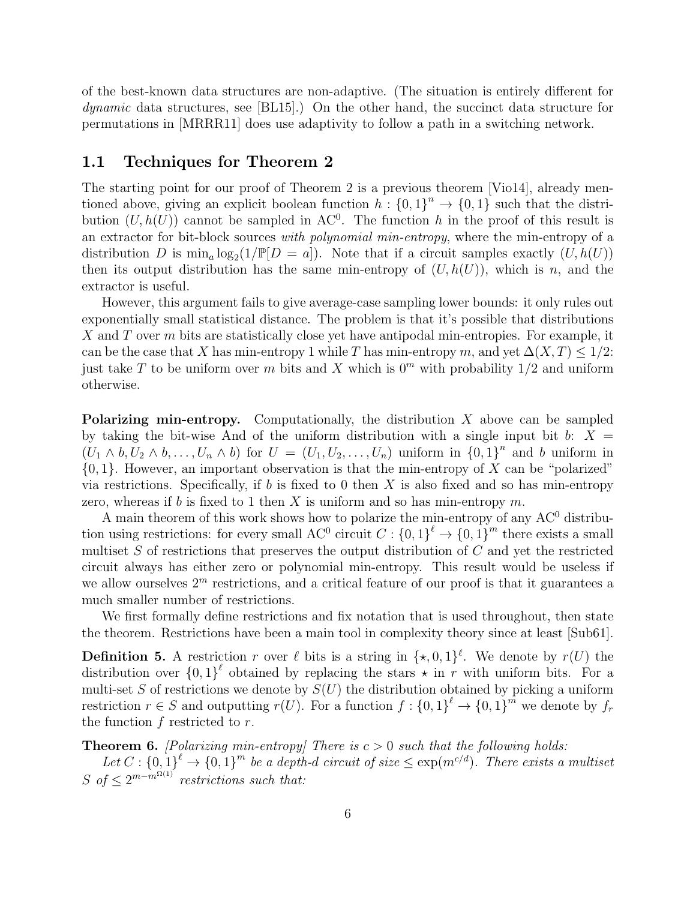of the best-known data structures are non-adaptive. (The situation is entirely different for dynamic data structures, see [BL15].) On the other hand, the succinct data structure for permutations in [MRRR11] does use adaptivity to follow a path in a switching network.

### 1.1 Techniques for Theorem 2

The starting point for our proof of Theorem 2 is a previous theorem [Vio14], already mentioned above, giving an explicit boolean function  $h: \{0,1\}^n \to \{0,1\}$  such that the distribution  $(U, h(U))$  cannot be sampled in AC<sup>0</sup>. The function h in the proof of this result is an extractor for bit-block sources with polynomial min-entropy, where the min-entropy of a distribution D is  $\min_a \log_2(1/\mathbb{P}[D = a])$ . Note that if a circuit samples exactly  $(U, h(U))$ then its output distribution has the same min-entropy of  $(U, h(U))$ , which is n, and the extractor is useful.

However, this argument fails to give average-case sampling lower bounds: it only rules out exponentially small statistical distance. The problem is that it's possible that distributions X and T over m bits are statistically close yet have antipodal min-entropies. For example, it can be the case that X has min-entropy 1 while T has min-entropy m, and yet  $\Delta(X,T) \leq 1/2$ : just take T to be uniform over m bits and X which is  $0<sup>m</sup>$  with probability 1/2 and uniform otherwise.

**Polarizing min-entropy.** Computationally, the distribution  $X$  above can be sampled by taking the bit-wise And of the uniform distribution with a single input bit  $b: X =$  $(U_1 \wedge b, U_2 \wedge b, \ldots, U_n \wedge b)$  for  $U = (U_1, U_2, \ldots, U_n)$  uniform in  $\{0, 1\}^n$  and b uniform in  $\{0,1\}$ . However, an important observation is that the min-entropy of X can be "polarized" via restrictions. Specifically, if b is fixed to 0 then X is also fixed and so has min-entropy zero, whereas if b is fixed to 1 then X is uniform and so has min-entropy  $m$ .

A main theorem of this work shows how to polarize the min-entropy of any  $AC^0$  distribution using restrictions: for every small AC<sup>0</sup> circuit  $C: \{0,1\}^{\ell} \to \{0,1\}^m$  there exists a small multiset  $S$  of restrictions that preserves the output distribution of  $C$  and yet the restricted circuit always has either zero or polynomial min-entropy. This result would be useless if we allow ourselves  $2^m$  restrictions, and a critical feature of our proof is that it guarantees a much smaller number of restrictions.

We first formally define restrictions and fix notation that is used throughout, then state the theorem. Restrictions have been a main tool in complexity theory since at least [Sub61].

**Definition 5.** A restriction r over  $\ell$  bits is a string in  $\{\star, 0, 1\}^{\ell}$ . We denote by  $r(U)$  the distribution over  $\{0,1\}^{\ell}$  obtained by replacing the stars  $\star$  in r with uniform bits. For a multi-set S of restrictions we denote by  $S(U)$  the distribution obtained by picking a uniform restriction  $r \in S$  and outputting  $r(U)$ . For a function  $f: \{0,1\}^{\ell} \to \{0,1\}^m$  we denote by  $f_r$ the function  $f$  restricted to  $r$ .

**Theorem 6.** [Polarizing min-entropy] There is  $c > 0$  such that the following holds:

Let  $C: \{0,1\}^{\ell} \to \{0,1\}^m$  be a depth-d circuit of size  $\leq \exp(m^{c/d})$ . There exists a multiset S of  $\leq 2^{m-m^{\Omega(1)}}$  restrictions such that: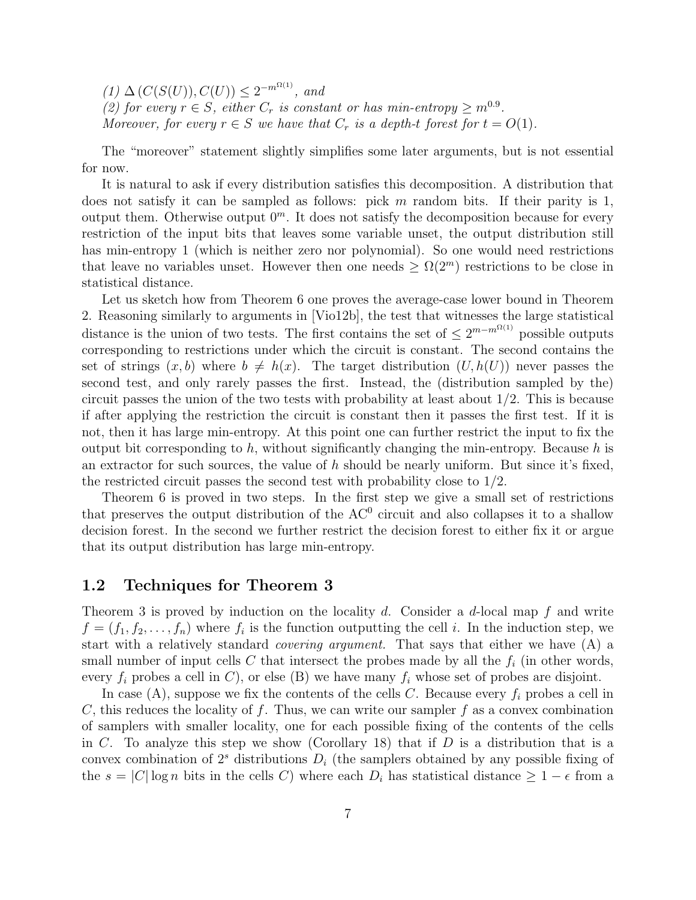$(1) \Delta(C(S(U)), C(U)) \leq 2^{-m^{\Omega(1)}},$  and (2) for every  $r \in S$ , either  $C_r$  is constant or has min-entropy  $\geq m^{0.9}$ . Moreover, for every  $r \in S$  we have that  $C_r$  is a depth-t forest for  $t = O(1)$ .

The "moreover" statement slightly simplifies some later arguments, but is not essential for now.

It is natural to ask if every distribution satisfies this decomposition. A distribution that does not satisfy it can be sampled as follows: pick m random bits. If their parity is  $1$ , output them. Otherwise output  $0<sup>m</sup>$ . It does not satisfy the decomposition because for every restriction of the input bits that leaves some variable unset, the output distribution still has min-entropy 1 (which is neither zero nor polynomial). So one would need restrictions that leave no variables unset. However then one needs  $\geq \Omega(2^m)$  restrictions to be close in statistical distance.

Let us sketch how from Theorem 6 one proves the average-case lower bound in Theorem 2. Reasoning similarly to arguments in [Vio12b], the test that witnesses the large statistical distance is the union of two tests. The first contains the set of  $\leq 2^{m-m^{\Omega(1)}}$  possible outputs corresponding to restrictions under which the circuit is constant. The second contains the set of strings  $(x, b)$  where  $b \neq h(x)$ . The target distribution  $(U, h(U))$  never passes the second test, and only rarely passes the first. Instead, the (distribution sampled by the) circuit passes the union of the two tests with probability at least about 1/2. This is because if after applying the restriction the circuit is constant then it passes the first test. If it is not, then it has large min-entropy. At this point one can further restrict the input to fix the output bit corresponding to h, without significantly changing the min-entropy. Because h is an extractor for such sources, the value of  $h$  should be nearly uniform. But since it's fixed, the restricted circuit passes the second test with probability close to 1/2.

Theorem 6 is proved in two steps. In the first step we give a small set of restrictions that preserves the output distribution of the  $AC<sup>0</sup>$  circuit and also collapses it to a shallow decision forest. In the second we further restrict the decision forest to either fix it or argue that its output distribution has large min-entropy.

### 1.2 Techniques for Theorem 3

Theorem 3 is proved by induction on the locality  $d$ . Consider a  $d$ -local map  $f$  and write  $f = (f_1, f_2, \ldots, f_n)$  where  $f_i$  is the function outputting the cell i. In the induction step, we start with a relatively standard covering argument. That says that either we have (A) a small number of input cells C that intersect the probes made by all the  $f_i$  (in other words, every  $f_i$  probes a cell in C), or else (B) we have many  $f_i$  whose set of probes are disjoint.

In case (A), suppose we fix the contents of the cells C. Because every  $f_i$  probes a cell in C, this reduces the locality of f. Thus, we can write our sampler f as a convex combination of samplers with smaller locality, one for each possible fixing of the contents of the cells in C. To analyze this step we show (Corollary 18) that if D is a distribution that is a convex combination of  $2<sup>s</sup>$  distributions  $D<sub>i</sub>$  (the samplers obtained by any possible fixing of the  $s = |C| \log n$  bits in the cells C) where each  $D_i$  has statistical distance  $\geq 1 - \epsilon$  from a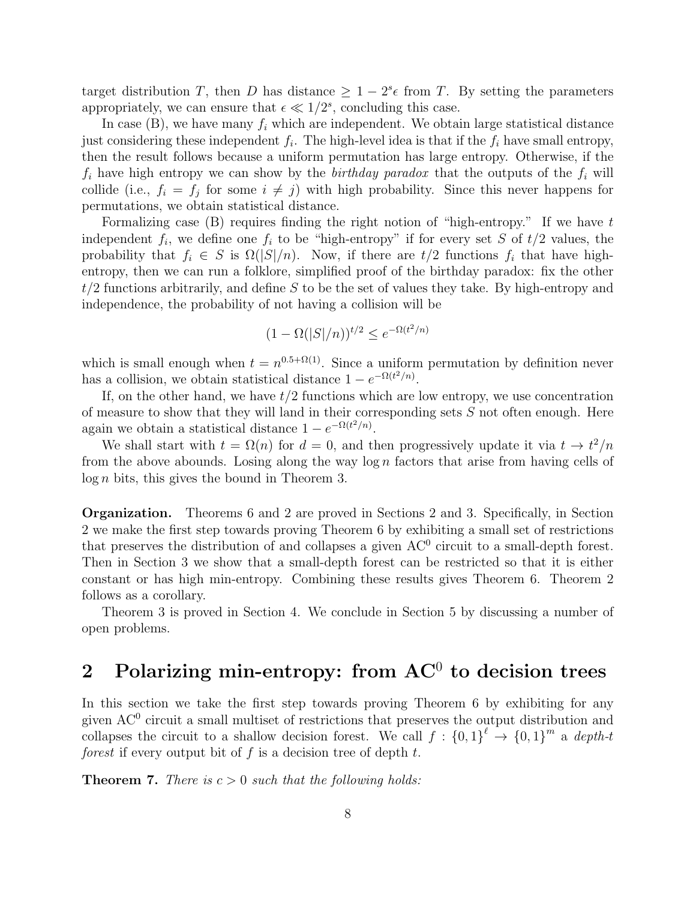target distribution T, then D has distance  $\geq 1-2^{s_{\epsilon}}$  from T. By setting the parameters appropriately, we can ensure that  $\epsilon \ll 1/2^s$ , concluding this case.

In case  $(B)$ , we have many  $f_i$  which are independent. We obtain large statistical distance just considering these independent  $f_i$ . The high-level idea is that if the  $f_i$  have small entropy, then the result follows because a uniform permutation has large entropy. Otherwise, if the  $f_i$  have high entropy we can show by the *birthday paradox* that the outputs of the  $f_i$  will collide (i.e.,  $f_i = f_j$  for some  $i \neq j$ ) with high probability. Since this never happens for permutations, we obtain statistical distance.

Formalizing case  $(B)$  requires finding the right notion of "high-entropy." If we have t independent  $f_i$ , we define one  $f_i$  to be "high-entropy" if for every set S of  $t/2$  values, the probability that  $f_i \in S$  is  $\Omega(|S|/n)$ . Now, if there are  $t/2$  functions  $f_i$  that have highentropy, then we can run a folklore, simplified proof of the birthday paradox: fix the other  $t/2$  functions arbitrarily, and define S to be the set of values they take. By high-entropy and independence, the probability of not having a collision will be

$$
(1 - \Omega(|S|/n))^{t/2} \le e^{-\Omega(t^2/n)}
$$

which is small enough when  $t = n^{0.5 + \Omega(1)}$ . Since a uniform permutation by definition never has a collision, we obtain statistical distance  $1 - e^{-\Omega(t^2/n)}$ .

If, on the other hand, we have  $t/2$  functions which are low entropy, we use concentration of measure to show that they will land in their corresponding sets  $S$  not often enough. Here again we obtain a statistical distance  $1 - e^{-\Omega(t^2/n)}$ .

We shall start with  $t = \Omega(n)$  for  $d = 0$ , and then progressively update it via  $t \to t^2/n$ from the above abounds. Losing along the way  $\log n$  factors that arise from having cells of  $log n$  bits, this gives the bound in Theorem 3.

Organization. Theorems 6 and 2 are proved in Sections 2 and 3. Specifically, in Section 2 we make the first step towards proving Theorem 6 by exhibiting a small set of restrictions that preserves the distribution of and collapses a given  $AC<sup>0</sup>$  circuit to a small-depth forest. Then in Section 3 we show that a small-depth forest can be restricted so that it is either constant or has high min-entropy. Combining these results gives Theorem 6. Theorem 2 follows as a corollary.

Theorem 3 is proved in Section 4. We conclude in Section 5 by discussing a number of open problems.

## 2 Polarizing min-entropy: from  $AC^0$  to decision trees

In this section we take the first step towards proving Theorem 6 by exhibiting for any given AC<sup>0</sup> circuit a small multiset of restrictions that preserves the output distribution and collapses the circuit to a shallow decision forest. We call  $f: \{0,1\}^{\ell} \to \{0,1\}^m$  a depth-t forest if every output bit of f is a decision tree of depth  $t$ .

**Theorem 7.** There is  $c > 0$  such that the following holds: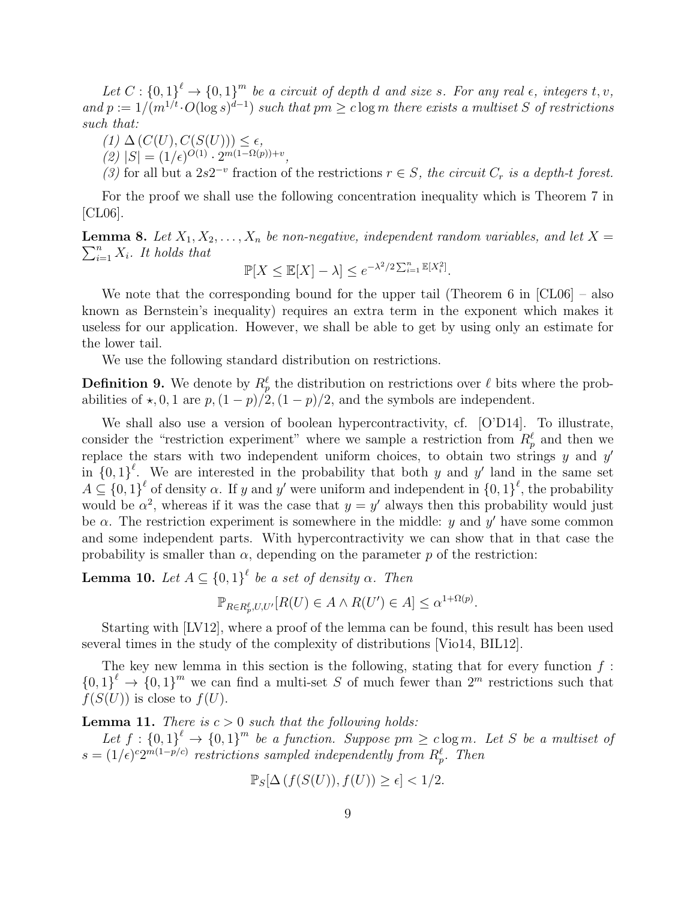Let  $C: \{0,1\}^{\ell} \to \{0,1\}^m$  be a circuit of depth d and size s. For any real  $\epsilon$ , integers t, v, and  $p := 1/(m^{1/t} \cdot O(\log s)^{d-1})$  such that  $pm \geq c \log m$  there exists a multiset S of restrictions such that:

- $(1) \Delta (C(U), C(S(U))) \leq \epsilon,$
- $(2)$   $|S| = (1/\epsilon)^{O(1)} \cdot 2^{m(1-\Omega(p))+v},$
- (3) for all but a 2s<sup>2-v</sup> fraction of the restrictions  $r \in S$ , the circuit  $C_r$  is a depth-t forest.

For the proof we shall use the following concentration inequality which is Theorem 7 in [CL06].

**Lemma 8.** Let  $X_1, X_2, \ldots, X_n$  be non-negative, independent random variables, and let  $X =$  $\sum_{i=1}^{n} X_i$ . It holds that

$$
\mathbb{P}[X \le \mathbb{E}[X] - \lambda] \le e^{-\lambda^2/2 \sum_{i=1}^n \mathbb{E}[X_i^2]}.
$$

We note that the corresponding bound for the upper tail (Theorem 6 in [CL06] – also known as Bernstein's inequality) requires an extra term in the exponent which makes it useless for our application. However, we shall be able to get by using only an estimate for the lower tail.

We use the following standard distribution on restrictions.

**Definition 9.** We denote by  $R_p^{\ell}$  the distribution on restrictions over  $\ell$  bits where the probabilities of  $\star$ , 0, 1 are  $p$ ,  $(1 - p)/2$ ,  $(1 - p)/2$ , and the symbols are independent.

We shall also use a version of boolean hypercontractivity, cf. [O'D14]. To illustrate, consider the "restriction experiment" where we sample a restriction from  $R_p^{\ell}$  and then we replace the stars with two independent uniform choices, to obtain two strings  $y$  and  $y'$ in  ${0,1}^{\ell}$ . We are interested in the probability that both y and y' land in the same set  $A \subseteq \{0,1\}^{\ell}$  of density  $\alpha$ . If y and y' were uniform and independent in  $\{0,1\}^{\ell}$ , the probability would be  $\alpha^2$ , whereas if it was the case that  $y = y'$  always then this probability would just be  $\alpha$ . The restriction experiment is somewhere in the middle: y and y' have some common and some independent parts. With hypercontractivity we can show that in that case the probability is smaller than  $\alpha$ , depending on the parameter p of the restriction:

**Lemma 10.** Let  $A \subseteq \{0,1\}^{\ell}$  be a set of density  $\alpha$ . Then

$$
\mathbb{P}_{R \in R_p^{\ell}, U, U'}[R(U) \in A \wedge R(U') \in A] \leq \alpha^{1 + \Omega(p)}.
$$

Starting with [LV12], where a proof of the lemma can be found, this result has been used several times in the study of the complexity of distributions [Vio14, BIL12].

The key new lemma in this section is the following, stating that for every function  $f$ :  ${0,1}^{\ell} \rightarrow {0,1}^m$  we can find a multi-set S of much fewer than  $2^m$  restrictions such that  $f(S(U))$  is close to  $f(U)$ .

**Lemma 11.** There is  $c > 0$  such that the following holds:

Let  $f: \{0,1\}^{\ell} \to \{0,1\}^m$  be a function. Suppose  $pm \geq c \log m$ . Let S be a multiset of  $s = (1/\epsilon)^{c}2^{m(1-p/c)}$  restrictions sampled independently from  $R_p^{\ell}$ . Then

$$
\mathbb{P}_S[\Delta(f(S(U)), f(U)) \ge \epsilon] < 1/2.
$$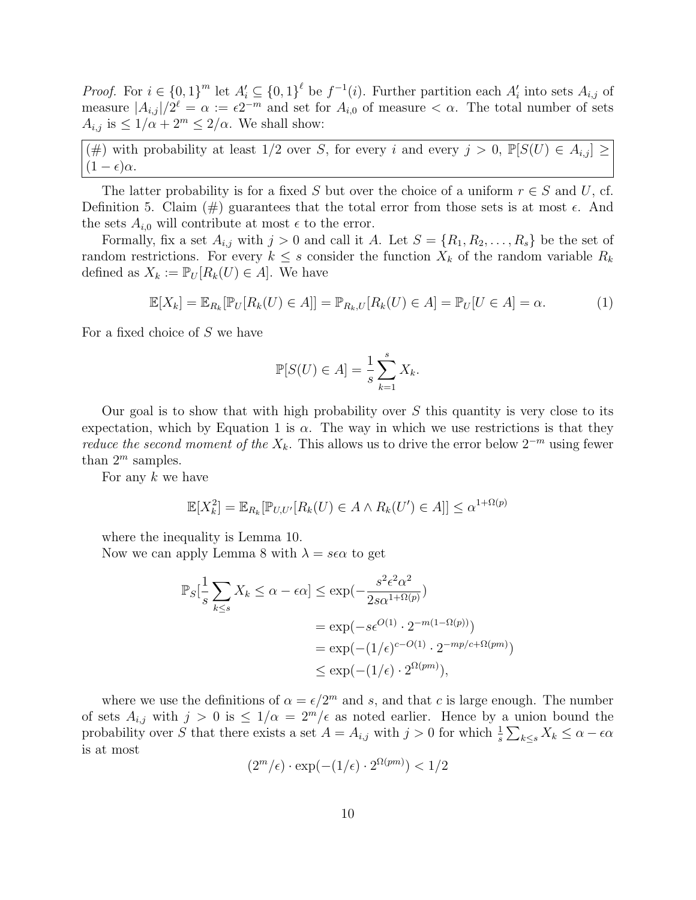*Proof.* For  $i \in \{0,1\}^m$  let  $A'_i \subseteq \{0,1\}^{\ell}$  be  $f^{-1}(i)$ . Further partition each  $A'_i$  into sets  $A_{i,j}$  of measure  $|A_{i,j}|/2^{\ell} = \alpha := \epsilon 2^{-m}$  and set for  $A_{i,0}$  of measure  $\lt \alpha$ . The total number of sets  $A_{i,j}$  is  $\leq 1/\alpha + 2^m \leq 2/\alpha$ . We shall show:

(#) with probability at least  $1/2$  over S, for every i and every  $j > 0$ ,  $\mathbb{P}[S(U) \in A_{i,j}] \geq$  $(1 - \epsilon)\alpha$ .

The latter probability is for a fixed S but over the choice of a uniform  $r \in S$  and U, cf. Definition 5. Claim (#) guarantees that the total error from those sets is at most  $\epsilon$ . And the sets  $A_{i,0}$  will contribute at most  $\epsilon$  to the error.

Formally, fix a set  $A_{i,j}$  with  $j > 0$  and call it A. Let  $S = \{R_1, R_2, \ldots, R_s\}$  be the set of random restrictions. For every  $k \leq s$  consider the function  $X_k$  of the random variable  $R_k$ defined as  $X_k := \mathbb{P}_U[R_k(U) \in A]$ . We have

$$
\mathbb{E}[X_k] = \mathbb{E}_{R_k}[\mathbb{P}_U[R_k(U) \in A]] = \mathbb{P}_{R_k,U}[R_k(U) \in A] = \mathbb{P}_U[U \in A] = \alpha.
$$
 (1)

For a fixed choice of S we have

$$
\mathbb{P}[S(U) \in A] = \frac{1}{s} \sum_{k=1}^{s} X_k.
$$

Our goal is to show that with high probability over  $S$  this quantity is very close to its expectation, which by Equation 1 is  $\alpha$ . The way in which we use restrictions is that they *reduce the second moment of the*  $X_k$ . This allows us to drive the error below  $2^{-m}$  using fewer than  $2^m$  samples.

For any  $k$  we have

$$
\mathbb{E}[X_k^2] = \mathbb{E}_{R_k}[\mathbb{P}_{U,U'}[R_k(U) \in A \land R_k(U') \in A]] \le \alpha^{1+\Omega(p)}
$$

where the inequality is Lemma 10.

Now we can apply Lemma 8 with  $\lambda = s\epsilon\alpha$  to get

$$
\mathbb{P}_S[\frac{1}{s}\sum_{k\leq s} X_k \leq \alpha - \epsilon \alpha] \leq \exp(-\frac{s^2 \epsilon^2 \alpha^2}{2s\alpha^{1+\Omega(p)}})
$$
  
=  $\exp(-s\epsilon^{O(1)} \cdot 2^{-m(1-\Omega(p))})$   
=  $\exp(-(1/\epsilon)^{c-O(1)} \cdot 2^{-mp/c+\Omega(pm)})$   
 $\leq \exp(-(1/\epsilon) \cdot 2^{\Omega(pm)}),$ 

where we use the definitions of  $\alpha = \epsilon/2^m$  and s, and that c is large enough. The number of sets  $A_{i,j}$  with  $j > 0$  is  $\leq 1/\alpha = 2^m/\epsilon$  as noted earlier. Hence by a union bound the probability over S that there exists a set  $A = A_{i,j}$  with  $j > 0$  for which  $\frac{1}{s} \sum_{k \leq s} X_k \leq \alpha - \epsilon \alpha$ is at most

$$
(2^m/\epsilon) \cdot \exp(-(1/\epsilon) \cdot 2^{\Omega(pm)}) < 1/2
$$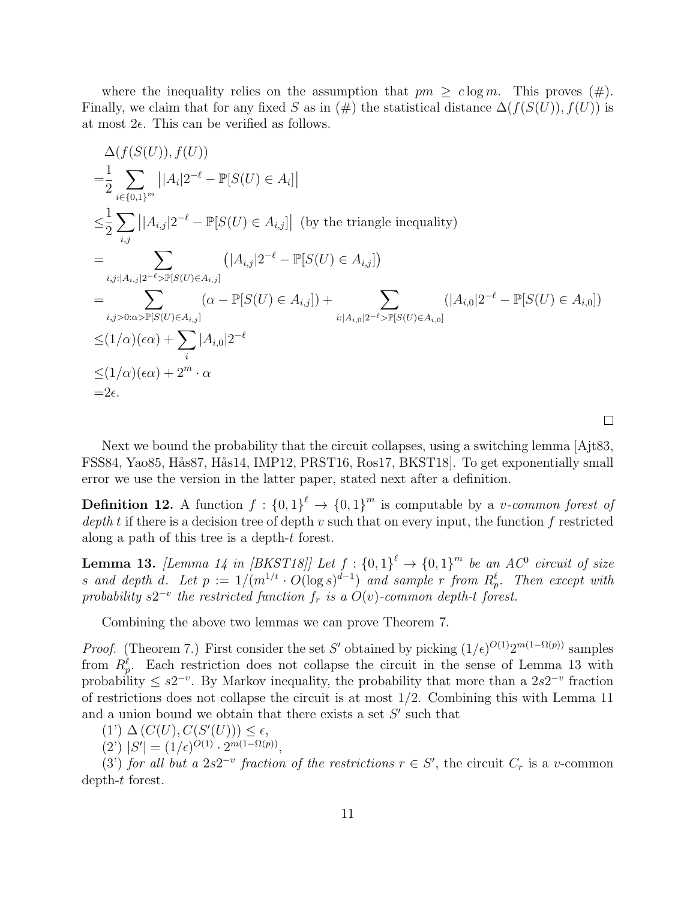where the inequality relies on the assumption that  $pm \geq c \log m$ . This proves  $(\#)$ . Finally, we claim that for any fixed S as in  $(\#)$  the statistical distance  $\Delta(f(S(U)), f(U))$  is at most  $2\epsilon$ . This can be verified as follows.

$$
\Delta(f(S(U)), f(U))
$$
\n
$$
= \frac{1}{2} \sum_{i \in \{0,1\}^m} |A_i| 2^{-\ell} - \mathbb{P}[S(U) \in A_i]|
$$
\n
$$
\leq \frac{1}{2} \sum_{i,j} |A_{i,j}| 2^{-\ell} - \mathbb{P}[S(U) \in A_{i,j}] | \text{ (by the triangle inequality)}
$$
\n
$$
= \sum_{i,j:|A_{i,j}| 2^{-\ell} > \mathbb{P}[S(U) \in A_{i,j}]} (|A_{i,j}| 2^{-\ell} - \mathbb{P}[S(U) \in A_{i,j}])
$$
\n
$$
= \sum_{i,j>0: \alpha > \mathbb{P}[S(U) \in A_{i,j}]} (\alpha - \mathbb{P}[S(U) \in A_{i,j}] ) + \sum_{i:|A_{i,0}| 2^{-\ell} > \mathbb{P}[S(U) \in A_{i,0}]} (|A_{i,0}| 2^{-\ell} - \mathbb{P}[S(U) \in A_{i,0}])
$$
\n
$$
\leq (1/\alpha)(\epsilon \alpha) + \sum_{i} |A_{i,0}| 2^{-\ell}
$$
\n
$$
\leq (1/\alpha)(\epsilon \alpha) + 2^m \cdot \alpha
$$
\n
$$
= 2\epsilon.
$$

Next we bound the probability that the circuit collapses, using a switching lemma [Ajt83, FSS84, Yao85, Hås87, Hås14, IMP12, PRST16, Ros17, BKST18. To get exponentially small error we use the version in the latter paper, stated next after a definition.

 $\Box$ 

**Definition 12.** A function  $f: \{0,1\}^{\ell} \to \{0,1\}^m$  is computable by a *v*-common forest of  $depth t$  if there is a decision tree of depth  $v$  such that on every input, the function  $f$  restricted along a path of this tree is a depth-t forest.

**Lemma 13.** [Lemma 14 in [BKST18]] Let  $f : \{0,1\}^{\ell} \to \{0,1\}^m$  be an AC<sup>0</sup> circuit of size s and depth d. Let  $p := 1/(m^{1/t} \cdot O(\log s)^{d-1})$  and sample r from  $R_p^{\ell}$ . Then except with probability  $s2^{-v}$  the restricted function  $f_r$  is a  $O(v)$ -common depth-t forest.

Combining the above two lemmas we can prove Theorem 7.

*Proof.* (Theorem 7.) First consider the set S' obtained by picking  $(1/\epsilon)^{O(1)}2^{m(1-\Omega(p))}$  samples from  $R_p^{\ell}$ . Each restriction does not collapse the circuit in the sense of Lemma 13 with probability  $\leq s2^{-v}$ . By Markov inequality, the probability that more than a  $2s2^{-v}$  fraction of restrictions does not collapse the circuit is at most 1/2. Combining this with Lemma 11 and a union bound we obtain that there exists a set  $S'$  such that

- $(1') \Delta(C(U), C(S'(U))) \leq \epsilon,$
- $(2') |S'| = (1/\epsilon)^{O(1)} \cdot 2^{m(1-\Omega(p))},$

(3') for all but a 2s2<sup>-v</sup> fraction of the restrictions  $r \in S'$ , the circuit  $C_r$  is a v-common depth-t forest.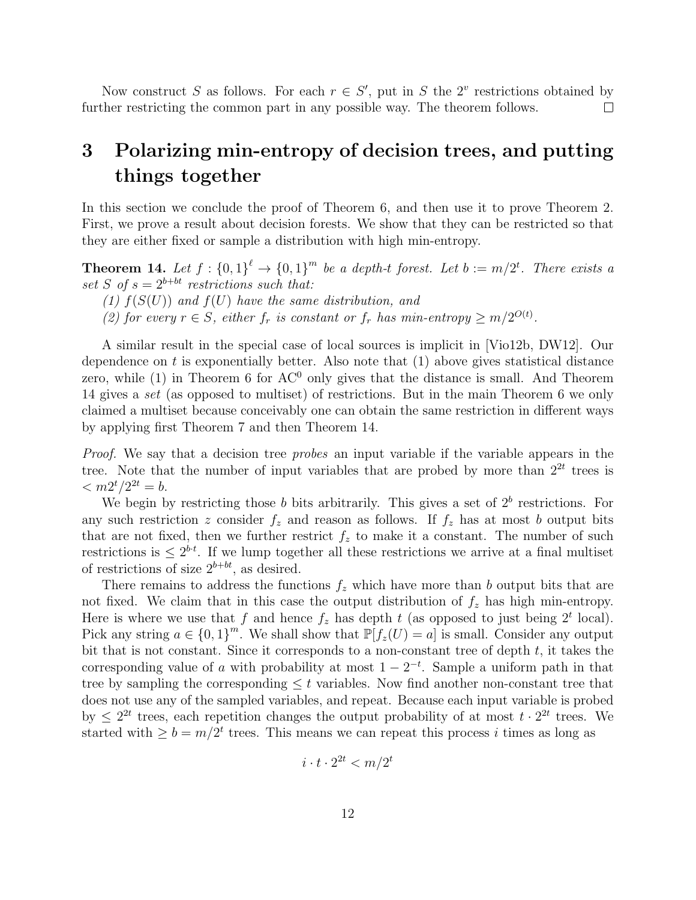Now construct S as follows. For each  $r \in S'$ , put in S the  $2^v$  restrictions obtained by further restricting the common part in any possible way. The theorem follows.  $\Box$ 

## 3 Polarizing min-entropy of decision trees, and putting things together

In this section we conclude the proof of Theorem 6, and then use it to prove Theorem 2. First, we prove a result about decision forests. We show that they can be restricted so that they are either fixed or sample a distribution with high min-entropy.

**Theorem 14.** Let  $f: \{0,1\}^{\ell} \to \{0,1\}^m$  be a depth-t forest. Let  $b := m/2^t$ . There exists a set S of  $s = 2^{b+bt}$  restrictions such that:

- (1)  $f(S(U))$  and  $f(U)$  have the same distribution, and
- (2) for every  $r \in S$ , either  $f_r$  is constant or  $f_r$  has min-entropy  $\geq m/2^{O(t)}$ .

A similar result in the special case of local sources is implicit in [Vio12b, DW12]. Our dependence on t is exponentially better. Also note that  $(1)$  above gives statistical distance zero, while  $(1)$  in Theorem 6 for AC<sup>0</sup> only gives that the distance is small. And Theorem 14 gives a set (as opposed to multiset) of restrictions. But in the main Theorem 6 we only claimed a multiset because conceivably one can obtain the same restriction in different ways by applying first Theorem 7 and then Theorem 14.

Proof. We say that a decision tree *probes* an input variable if the variable appears in the tree. Note that the number of input variables that are probed by more than  $2^{2t}$  trees is  $\langle m2^{t}/2^{2t} = b.$ 

We begin by restricting those b bits arbitrarily. This gives a set of  $2<sup>b</sup>$  restrictions. For any such restriction z consider  $f_z$  and reason as follows. If  $f_z$  has at most b output bits that are not fixed, then we further restrict  $f_z$  to make it a constant. The number of such restrictions is  $\leq 2^{b\cdot t}$ . If we lump together all these restrictions we arrive at a final multiset of restrictions of size  $2^{b+bt}$ , as desired.

There remains to address the functions  $f_z$  which have more than b output bits that are not fixed. We claim that in this case the output distribution of  $f<sub>z</sub>$  has high min-entropy. Here is where we use that f and hence  $f_z$  has depth t (as opposed to just being  $2^t$  local). Pick any string  $a \in \{0,1\}^m$ . We shall show that  $\mathbb{P}[f_z(U) = a]$  is small. Consider any output bit that is not constant. Since it corresponds to a non-constant tree of depth  $t$ , it takes the corresponding value of a with probability at most  $1 - 2^{-t}$ . Sample a uniform path in that tree by sampling the corresponding  $\leq t$  variables. Now find another non-constant tree that does not use any of the sampled variables, and repeat. Because each input variable is probed by  $\leq 2^{2t}$  trees, each repetition changes the output probability of at most  $t \cdot 2^{2t}$  trees. We started with  $\geq b = m/2^t$  trees. This means we can repeat this process i times as long as

$$
i \cdot t \cdot 2^{2t} < m/2^t
$$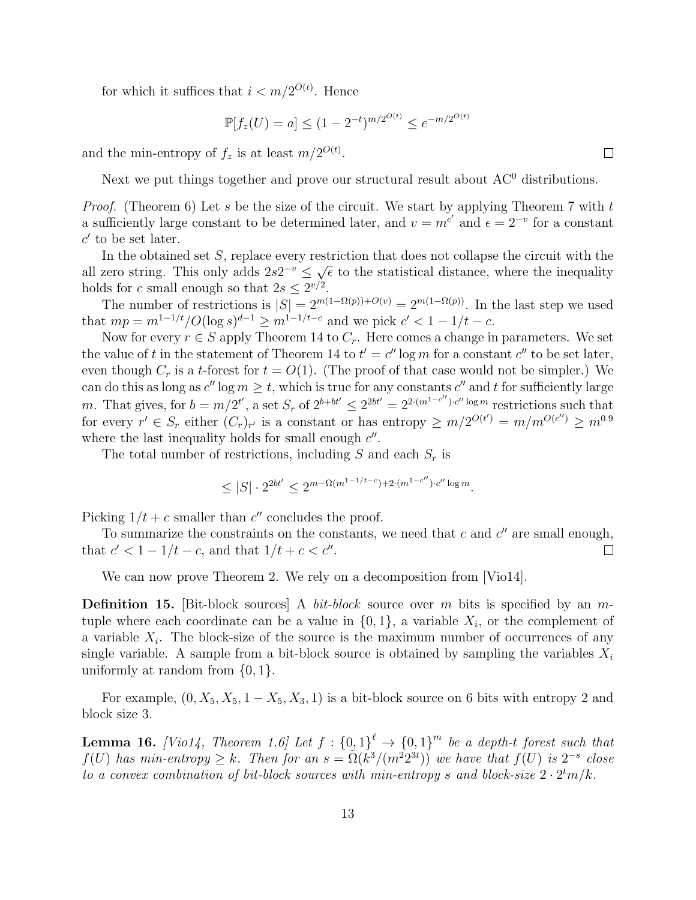for which it suffices that  $i < m/2^{O(t)}$ . Hence

$$
\mathbb{P}[f_z(U) = a] \le (1 - 2^{-t})^{m/2^{O(t)}} \le e^{-m/2^{O(t)}}
$$

and the min-entropy of  $f_z$  is at least  $m/2^{O(t)}$ .

Next we put things together and prove our structural result about  $AC<sup>0</sup>$  distributions.

*Proof.* (Theorem 6) Let s be the size of the circuit. We start by applying Theorem 7 with t a sufficiently large constant to be determined later, and  $v = m^{c'}$  and  $\epsilon = 2^{-v}$  for a constant  $c'$  to be set later.

In the obtained set  $S$ , replace every restriction that does not collapse the circuit with the all zero string. This only adds  $2s2^{-v} \leq \sqrt{\epsilon}$  to the statistical distance, where the inequality holds for c small enough so that  $2s \leq 2^{\nu/2}$ .

The number of restrictions is  $|S| = 2^{m(1-\Omega(p))+O(v)} = 2^{m(1-\Omega(p))}$ . In the last step we used that  $mp = m^{1-1/t}/O(\log s)^{d-1} \ge m^{1-1/t-c}$  and we pick  $c' < 1-1/t-c$ .

Now for every  $r \in S$  apply Theorem 14 to  $C_r$ . Here comes a change in parameters. We set the value of t in the statement of Theorem 14 to  $t' = c'' \log m$  for a constant  $c''$  to be set later, even though  $C_r$  is a t-forest for  $t = O(1)$ . (The proof of that case would not be simpler.) We can do this as long as  $c''$  log  $m \ge t$ , which is true for any constants  $c''$  and t for sufficiently large m. That gives, for  $b = m/2^{t'}$ , a set  $S_r$  of  $2^{b+bt'} \leq 2^{2bt'} = 2^{2 \cdot (m^{1-c''}) \cdot c'' \log m}$  restrictions such that for every  $r' \in S_r$  either  $(C_r)_{r'}$  is a constant or has entropy  $\geq m/2^{O(t')} = m/m^{O(c'')} \geq m^{0.9}$ where the last inequality holds for small enough  $c''$ .

The total number of restrictions, including S and each  $S_r$  is

$$
\leq |S| \cdot 2^{2bt'} \leq 2^{m-\Omega(m^{1-1/t-c})+2 \cdot (m^{1-c''}) \cdot c'' \log m}.
$$

Picking  $1/t + c$  smaller than c'' concludes the proof.

To summarize the constraints on the constants, we need that  $c$  and  $c''$  are small enough, that  $c' < 1 - 1/t - c$ , and that  $1/t + c < c''$ .  $\Box$ 

We can now prove Theorem 2. We rely on a decomposition from [Vio14].

**Definition 15.** [Bit-block sources] A *bit-block* source over m bits is specified by an mtuple where each coordinate can be a value in  $\{0,1\}$ , a variable  $X_i$ , or the complement of a variable  $X_i$ . The block-size of the source is the maximum number of occurrences of any single variable. A sample from a bit-block source is obtained by sampling the variables  $X_i$ uniformly at random from  $\{0, 1\}$ .

For example,  $(0, X_5, X_5, 1 - X_5, X_3, 1)$  is a bit-block source on 6 bits with entropy 2 and block size 3.

**Lemma 16.** [Vio14, Theorem 1.6] Let  $f : \{0,1\}^{\ell} \to \{0,1\}^m$  be a depth-t forest such that  $f(U)$  has min-entropy  $\geq k$ . Then for an  $s = \tilde{\Omega}(k^3/(m^2 2^{3t}))$  we have that  $f(U)$  is  $2^{-s}$  close to a convex combination of bit-block sources with min-entropy s and block-size  $2 \cdot 2^{t} m/k$ .

 $\Box$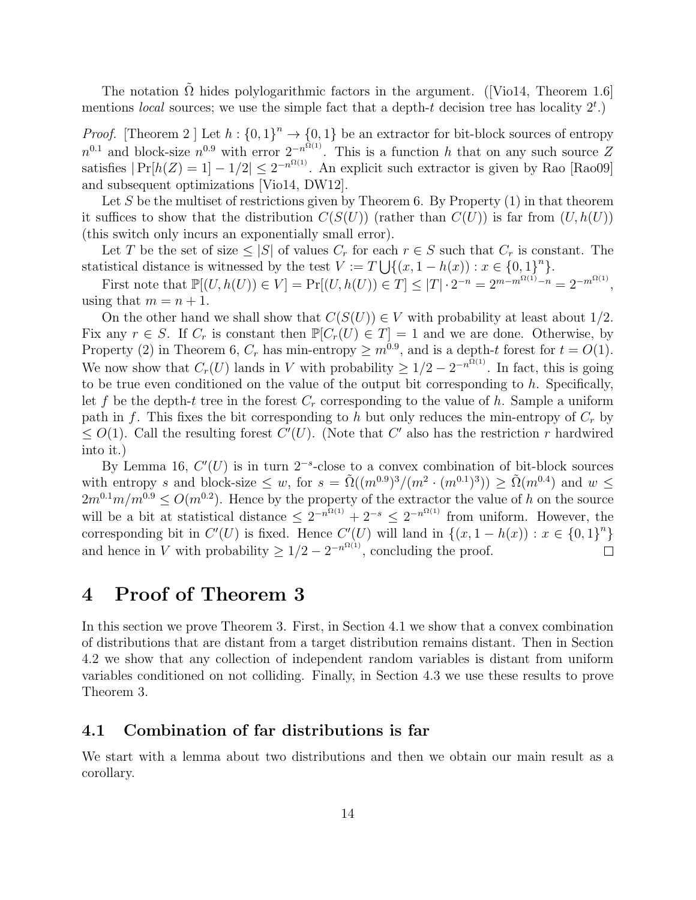The notation  $\Omega$  hides polylogarithmic factors in the argument. ([Vio14, Theorem 1.6] mentions *local* sources; we use the simple fact that a depth-t decision tree has locality  $2<sup>t</sup>$ .)

*Proof.* [Theorem 2 ] Let  $h: \{0,1\}^n \to \{0,1\}$  be an extractor for bit-block sources of entropy  $n^{0.1}$  and block-size  $n^{0.9}$  with error  $2^{-n^{\Omega(1)}}$ . This is a function h that on any such source Z satisfies  $|\Pr[h(Z) = 1] - 1/2| \leq 2^{-n^{\Omega(1)}}$ . An explicit such extractor is given by Rao [Rao09] and subsequent optimizations [Vio14, DW12].

Let S be the multiset of restrictions given by Theorem 6. By Property  $(1)$  in that theorem it suffices to show that the distribution  $C(S(U))$  (rather than  $C(U)$ ) is far from  $(U, h(U))$ (this switch only incurs an exponentially small error).

Let T be the set of size  $\leq |S|$  of values  $C_r$  for each  $r \in S$  such that  $C_r$  is constant. The statistical distance is witnessed by the test  $V := T \bigcup \{(x, 1 - h(x)) : x \in \{0, 1\}^n\}.$ 

First note that  $\mathbb{P}[(U, h(U)) \in V] = \Pr[(U, h(U)) \in T] \leq |T| \cdot 2^{-n} = 2^{m - m^{\Omega(1)} - n} = 2^{-m^{\Omega(1)}}$ , using that  $m = n + 1$ .

On the other hand we shall show that  $C(S(U)) \in V$  with probability at least about 1/2. Fix any  $r \in S$ . If  $C_r$  is constant then  $\mathbb{P}[C_r(U) \in T] = 1$  and we are done. Otherwise, by Property (2) in Theorem 6,  $C_r$  has min-entropy  $\geq m^{0.9}$ , and is a depth-t forest for  $t = O(1)$ . We now show that  $C_r(U)$  lands in V with probability  $\geq 1/2 - 2^{-n^{\Omega(1)}}$ . In fact, this is going to be true even conditioned on the value of the output bit corresponding to  $h$ . Specifically, let f be the depth-t tree in the forest  $C_r$  corresponding to the value of h. Sample a uniform path in f. This fixes the bit corresponding to h but only reduces the min-entropy of  $C_r$  by  $\leq O(1)$ . Call the resulting forest  $C'(U)$ . (Note that C' also has the restriction r hardwired into it.)

By Lemma 16,  $C'(U)$  is in turn  $2^{-s}$ -close to a convex combination of bit-block sources with entropy s and block-size  $\leq w$ , for  $s = \tilde{\Omega}((m^{0.9})^3/(m^2 \cdot (m^{0.1})^3)) \geq \tilde{\Omega}(m^{0.4})$  and  $w \leq$  $2m^{0.1}m/m^{0.9} \leq O(m^{0.2})$ . Hence by the property of the extractor the value of h on the source will be a bit at statistical distance  $\leq 2^{-n^{\Omega(1)}} + 2^{-s} \leq 2^{-n^{\Omega(1)}}$  from uniform. However, the corresponding bit in  $C'(U)$  is fixed. Hence  $C'(U)$  will land in  $\{(x, 1 - h(x)) : x \in \{0,1\}^n\}$ and hence in V with probability  $\geq 1/2 - 2^{-n^{\Omega(1)}}$ , concluding the proof.  $\Box$ 

## 4 Proof of Theorem 3

In this section we prove Theorem 3. First, in Section 4.1 we show that a convex combination of distributions that are distant from a target distribution remains distant. Then in Section 4.2 we show that any collection of independent random variables is distant from uniform variables conditioned on not colliding. Finally, in Section 4.3 we use these results to prove Theorem 3.

### 4.1 Combination of far distributions is far

We start with a lemma about two distributions and then we obtain our main result as a corollary.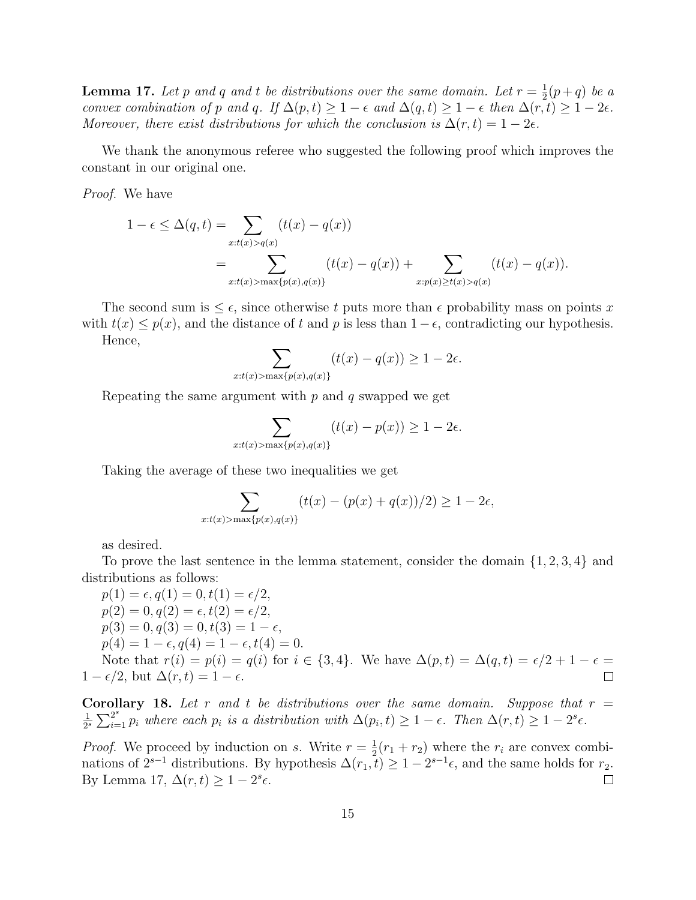**Lemma 17.** Let p and q and t be distributions over the same domain. Let  $r = \frac{1}{2}$  $\frac{1}{2}(p+q)$  be a convex combination of p and q. If  $\Delta(p,t) \geq 1 - \epsilon$  and  $\Delta(q,t) \geq 1 - \epsilon$  then  $\Delta(r,t) \geq 1 - 2\epsilon$ . Moreover, there exist distributions for which the conclusion is  $\Delta(r,t) = 1 - 2\epsilon$ .

We thank the anonymous referee who suggested the following proof which improves the constant in our original one.

Proof. We have

$$
1 - \epsilon \leq \Delta(q, t) = \sum_{x:t(x) > q(x)} (t(x) - q(x))
$$
  
= 
$$
\sum_{x:t(x) > \max\{p(x), q(x)\}} (t(x) - q(x)) + \sum_{x:p(x) \geq t(x) > q(x)} (t(x) - q(x)).
$$

The second sum is  $\leq \epsilon$ , since otherwise t puts more than  $\epsilon$  probability mass on points x with  $t(x) \leq p(x)$ , and the distance of t and p is less than  $1-\epsilon$ , contradicting our hypothesis. Hence,

$$
\sum_{x:t(x)>\max\{p(x),q(x)\}}(t(x)-q(x))\geq 1-2\epsilon.
$$

Repeating the same argument with  $p$  and  $q$  swapped we get

$$
\sum_{x:t(x)>\max\{p(x),q(x)\}}(t(x)-p(x))\geq 1-2\epsilon.
$$

Taking the average of these two inequalities we get

$$
\sum_{x:t(x)>\max\{p(x),q(x)\}} (t(x)-(p(x)+q(x))/2) \geq 1-2\epsilon,
$$

as desired.

To prove the last sentence in the lemma statement, consider the domain {1, 2, 3, 4} and distributions as follows:

 $p(1) = \epsilon, q(1) = 0, t(1) = \epsilon/2,$  $p(2) = 0, q(2) = \epsilon, t(2) = \epsilon/2,$  $p(3) = 0, q(3) = 0, t(3) = 1 - \epsilon,$  $p(4) = 1 - \epsilon, q(4) = 1 - \epsilon, t(4) = 0.$ Note that  $r(i) = p(i) = q(i)$  for  $i \in \{3, 4\}$ . We have  $\Delta(p, t) = \Delta(q, t) = \epsilon/2 + 1 - \epsilon =$  $1 - \epsilon/2$ , but  $\Delta(r, t) = 1 - \epsilon$ .

Corollary 18. Let r and t be distributions over the same domain. Suppose that  $r =$ 1  $\frac{1}{2^s}\sum_{i=1}^{2^s} p_i$  where each  $p_i$  is a distribution with  $\Delta(p_i,t) \geq 1-\epsilon$ . Then  $\Delta(r,t) \geq 1-2^s\epsilon$ .

 $\Box$ 

*Proof.* We proceed by induction on s. Write  $r = \frac{1}{2}$  $\frac{1}{2}(r_1 + r_2)$  where the  $r_i$  are convex combinations of  $2^{s-1}$  distributions. By hypothesis  $\Delta(r_1, t) \geq 1 - 2^{s-1} \epsilon$ , and the same holds for  $r_2$ . By Lemma 17,  $\Delta(r,t) \geq 1-2^s \epsilon$ .  $\Box$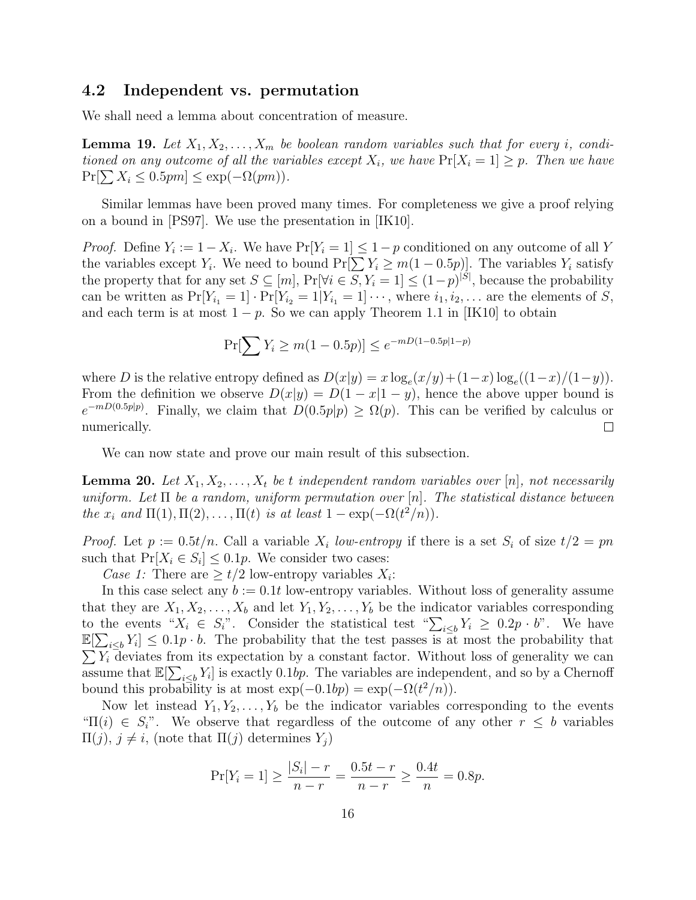### 4.2 Independent vs. permutation

We shall need a lemma about concentration of measure.

**Lemma 19.** Let  $X_1, X_2, \ldots, X_m$  be boolean random variables such that for every i, conditioned on any outcome of all the variables except  $X_i$ , we have  $Pr[X_i = 1] \geq p$ . Then we have  $Pr[\sum X_i \leq 0.5pm] \leq exp(-\Omega(pm)).$ 

Similar lemmas have been proved many times. For completeness we give a proof relying on a bound in [PS97]. We use the presentation in [IK10].

*Proof.* Define  $Y_i := 1 - X_i$ . We have  $Pr[Y_i = 1] \le 1 - p$  conditioned on any outcome of all Y the variables except  $Y_i$ . We need to bound  $Pr[\sum Y_i \ge m(1-0.5p)]$ . The variables  $Y_i$  satisfy the property that for any set  $S \subseteq [m]$ ,  $Pr[\forall i \in S, Y_i = 1] \le (1-p)^{|S|}$ , because the probability can be written as  $Pr[Y_{i_1} = 1] \cdot Pr[Y_{i_2} = 1 | Y_{i_1} = 1] \cdots$ , where  $i_1, i_2, \ldots$  are the elements of S, and each term is at most  $1 - p$ . So we can apply Theorem 1.1 in [IK10] to obtain

$$
\Pr[\sum Y_i \ge m(1 - 0.5p)] \le e^{-mD(1 - 0.5p|1 - p)}
$$

where D is the relative entropy defined as  $D(x|y) = x \log_e(x/y) + (1-x) \log_e((1-x)/(1-y)).$ From the definition we observe  $D(x|y) = D(1-x|1-y)$ , hence the above upper bound is  $e^{-mD(0.5p|p)}$ . Finally, we claim that  $D(0.5p|p) \geq \Omega(p)$ . This can be verified by calculus or  $\Box$ numerically.

We can now state and prove our main result of this subsection.

**Lemma 20.** Let  $X_1, X_2, \ldots, X_t$  be t independent random variables over [n], not necessarily uniform. Let  $\Pi$  be a random, uniform permutation over  $[n]$ . The statistical distance between the  $x_i$  and  $\Pi(1), \Pi(2), \ldots, \Pi(t)$  is at least  $1 - \exp(-\Omega(t^2/n)).$ 

*Proof.* Let  $p := 0.5t/n$ . Call a variable  $X_i$  low-entropy if there is a set  $S_i$  of size  $t/2 = pn$ such that  $Pr[X_i \in S_i] \leq 0.1p$ . We consider two cases:

Case 1: There are  $\geq t/2$  low-entropy variables  $X_i$ :

In this case select any  $b := 0.1t$  low-entropy variables. Without loss of generality assume that they are  $X_1, X_2, \ldots, X_b$  and let  $Y_1, Y_2, \ldots, Y_b$  be the indicator variables corresponding to the events " $X_i \in S_i$ ". Consider the statistical test " $\sum_{i \leq b} Y_i \geq 0.2p \cdot b$ ". We have  $\mathbb{E}[\sum_{i\leq b}Y_i] \leq 0.1p \cdot b$ . The probability that the test passes is at most the probability that  $\sum Y_i$  deviates from its expectation by a constant factor. Without loss of generality we can assume that  $\mathbb{E}[\sum_{i\leq b}Y_i]$  is exactly 0.1bp. The variables are independent, and so by a Chernoff bound this probability is at most  $\exp(-0.1bp) = \exp(-\Omega(t^2/n)).$ 

Now let instead  $Y_1, Y_2, \ldots, Y_b$  be the indicator variables corresponding to the events " $\Pi(i) \in S_i$ ". We observe that regardless of the outcome of any other  $r \leq b$  variables  $\Pi(j), j \neq i$ , (note that  $\Pi(j)$  determines  $Y_i$ )

$$
\Pr[Y_i = 1] \ge \frac{|S_i| - r}{n - r} = \frac{0.5t - r}{n - r} \ge \frac{0.4t}{n} = 0.8p.
$$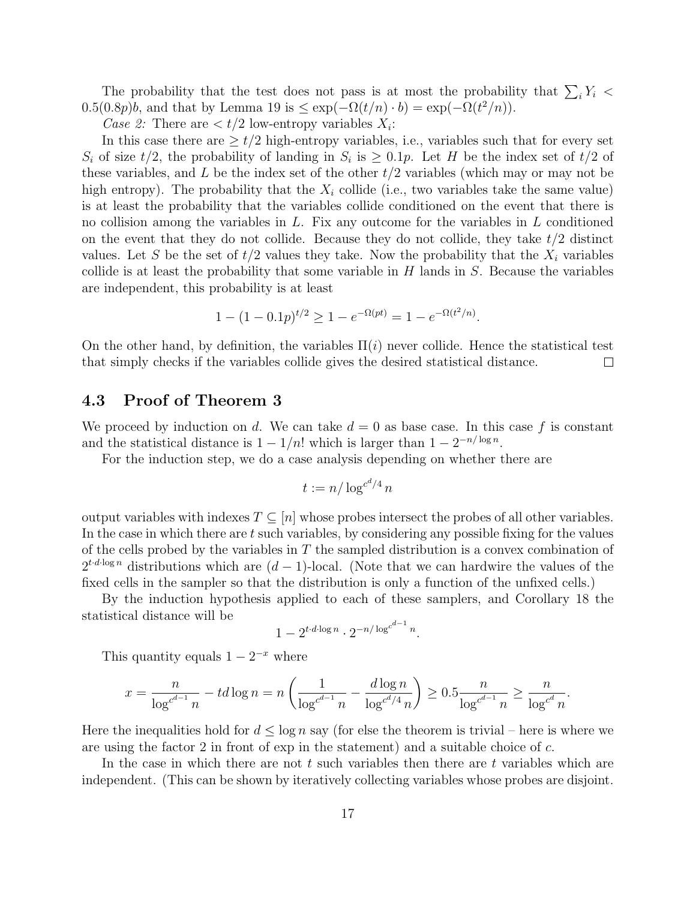The probability that the test does not pass is at most the probability that  $\sum_i Y_i$  $0.5(0.8p)b$ , and that by Lemma 19 is  $\leq \exp(-\Omega(t/n) \cdot b) = \exp(-\Omega(t^2/n)).$ 

Case 2: There are  $\langle t/2 \rangle$  low-entropy variables  $X_i$ :

In this case there are  $\geq t/2$  high-entropy variables, i.e., variables such that for every set  $S_i$  of size  $t/2$ , the probability of landing in  $S_i$  is  $\geq 0.1p$ . Let H be the index set of  $t/2$  of these variables, and L be the index set of the other  $t/2$  variables (which may or may not be high entropy). The probability that the  $X_i$  collide (i.e., two variables take the same value) is at least the probability that the variables collide conditioned on the event that there is no collision among the variables in  $L$ . Fix any outcome for the variables in  $L$  conditioned on the event that they do not collide. Because they do not collide, they take  $t/2$  distinct values. Let S be the set of  $t/2$  values they take. Now the probability that the  $X_i$  variables collide is at least the probability that some variable in  $H$  lands in  $S$ . Because the variables are independent, this probability is at least

$$
1 - (1 - 0.1p)^{t/2} \ge 1 - e^{-\Omega(pt)} = 1 - e^{-\Omega(t^2/n)}
$$

.

On the other hand, by definition, the variables  $\Pi(i)$  never collide. Hence the statistical test that simply checks if the variables collide gives the desired statistical distance.  $\Box$ 

### 4.3 Proof of Theorem 3

We proceed by induction on d. We can take  $d = 0$  as base case. In this case f is constant and the statistical distance is  $1 - 1/n!$  which is larger than  $1 - 2^{-n/\log n}$ .

For the induction step, we do a case analysis depending on whether there are

$$
t := n/\log^{c^d/4} n
$$

output variables with indexes  $T \subseteq [n]$  whose probes intersect the probes of all other variables. In the case in which there are  $t$  such variables, by considering any possible fixing for the values of the cells probed by the variables in  $T$  the sampled distribution is a convex combination of  $2^{t \cdot d \cdot \log n}$  distributions which are  $(d-1)$ -local. (Note that we can hardwire the values of the fixed cells in the sampler so that the distribution is only a function of the unfixed cells.)

By the induction hypothesis applied to each of these samplers, and Corollary 18 the statistical distance will be

$$
1-2^{t\cdot d\cdot\log n}\cdot 2^{-n/\log^{c^{d-1}} n}
$$

.

This quantity equals  $1 - 2^{-x}$  where

$$
x = \frac{n}{\log^{c^{d-1}} n} - td \log n = n \left( \frac{1}{\log^{c^{d-1}} n} - \frac{d \log n}{\log^{c^{d}/4} n} \right) \ge 0.5 \frac{n}{\log^{c^{d-1}} n} \ge \frac{n}{\log^{c^d} n}.
$$

Here the inequalities hold for  $d \leq \log n$  say (for else the theorem is trivial – here is where we are using the factor 2 in front of exp in the statement) and a suitable choice of c.

In the case in which there are not  $t$  such variables then there are  $t$  variables which are independent. (This can be shown by iteratively collecting variables whose probes are disjoint.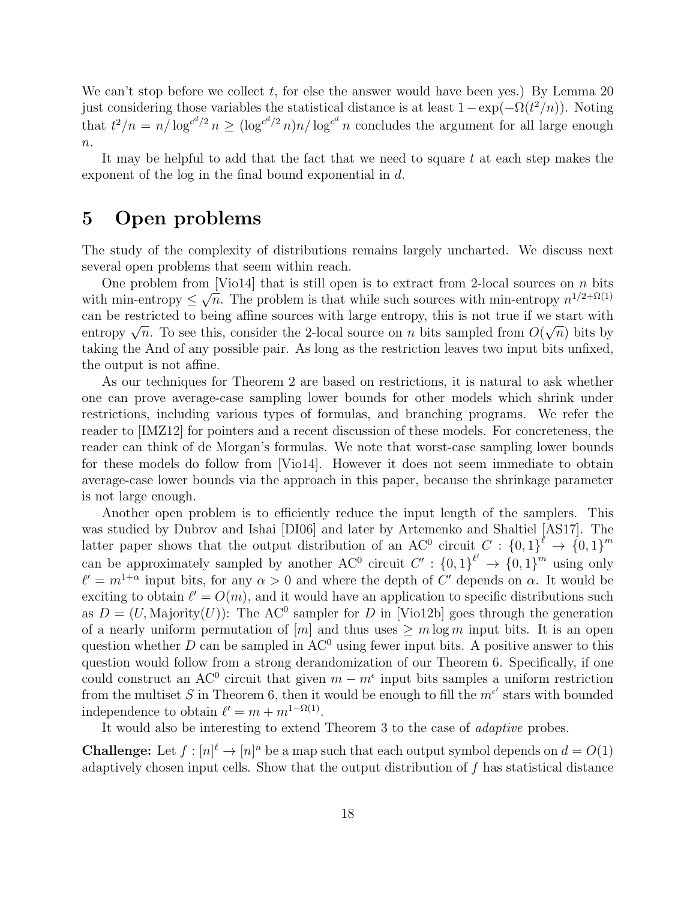We can't stop before we collect t, for else the answer would have been yes.) By Lemma 20 just considering those variables the statistical distance is at least  $1 - \exp(-\Omega(t^2/n))$ . Noting that  $t^2/n = n/\log^{c^{d}/2} n \ge (\log^{c^{d}/2} n)n/\log^{c^{d}} n$  concludes the argument for all large enough  $n$ .

It may be helpful to add that the fact that we need to square t at each step makes the exponent of the log in the final bound exponential in d.

### 5 Open problems

The study of the complexity of distributions remains largely uncharted. We discuss next several open problems that seem within reach.

One problem from [Vio14] that is still open is to extract from 2-local sources on n bits with min-entropy  $\leq$ √  $\overline{n}$ . The problem is that while such sources with min-entropy  $n^{1/2+\Omega(1)}$ can be restricted to being affine sources with large entropy, this is not true if we start with can be restricted to being annie sources with large entropy, this is not true if we start with<br>entropy  $\sqrt{n}$ . To see this, consider the 2-local source on n bits sampled from  $O(\sqrt{n})$  bits by taking the And of any possible pair. As long as the restriction leaves two input bits unfixed, the output is not affine.

As our techniques for Theorem 2 are based on restrictions, it is natural to ask whether one can prove average-case sampling lower bounds for other models which shrink under restrictions, including various types of formulas, and branching programs. We refer the reader to [IMZ12] for pointers and a recent discussion of these models. For concreteness, the reader can think of de Morgan's formulas. We note that worst-case sampling lower bounds for these models do follow from [Vio14]. However it does not seem immediate to obtain average-case lower bounds via the approach in this paper, because the shrinkage parameter is not large enough.

Another open problem is to efficiently reduce the input length of the samplers. This was studied by Dubrov and Ishai [DI06] and later by Artemenko and Shaltiel [AS17]. The latter paper shows that the output distribution of an AC<sup>0</sup> circuit  $C: \{0,1\}^{\ell} \to \{0,1\}^m$ can be approximately sampled by another AC<sup>0</sup> circuit  $C' : \{0,1\}^{\ell'} \to \{0,1\}^m$  using only  $\ell' = m^{1+\alpha}$  input bits, for any  $\alpha > 0$  and where the depth of C' depends on  $\alpha$ . It would be exciting to obtain  $\ell' = O(m)$ , and it would have an application to specific distributions such as  $D = (U, \text{Majority}(U))$ : The AC<sup>0</sup> sampler for D in [Vio12b] goes through the generation of a nearly uniform permutation of  $[m]$  and thus uses  $\geq m \log m$  input bits. It is an open question whether  $D$  can be sampled in  $AC^0$  using fewer input bits. A positive answer to this question would follow from a strong derandomization of our Theorem 6. Specifically, if one could construct an AC<sup>0</sup> circuit that given  $m - m^{\epsilon}$  input bits samples a uniform restriction from the multiset S in Theorem 6, then it would be enough to fill the  $m^{e'}$  stars with bounded independence to obtain  $\ell' = m + m^{1-\Omega(1)}$ .

It would also be interesting to extend Theorem 3 to the case of adaptive probes.

**Challenge:** Let  $f : [n]^{\ell} \to [n]^n$  be a map such that each output symbol depends on  $d = O(1)$ adaptively chosen input cells. Show that the output distribution of f has statistical distance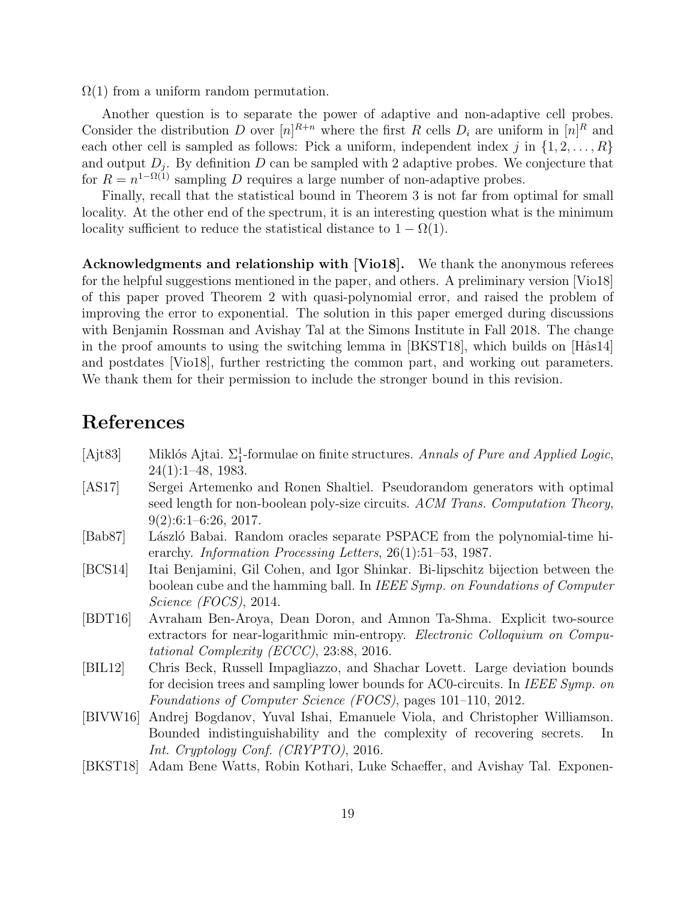$\Omega(1)$  from a uniform random permutation.

Another question is to separate the power of adaptive and non-adaptive cell probes. Consider the distribution D over  $[n]^{R+n}$  where the first R cells  $D_i$  are uniform in  $[n]^R$  and each other cell is sampled as follows: Pick a uniform, independent index j in  $\{1, 2, \ldots, R\}$ and output  $D_j$ . By definition D can be sampled with 2 adaptive probes. We conjecture that for  $R = n^{1-\Omega(1)}$  sampling D requires a large number of non-adaptive probes.

Finally, recall that the statistical bound in Theorem 3 is not far from optimal for small locality. At the other end of the spectrum, it is an interesting question what is the minimum locality sufficient to reduce the statistical distance to  $1 - \Omega(1)$ .

Acknowledgments and relationship with [Vio18]. We thank the anonymous referees for the helpful suggestions mentioned in the paper, and others. A preliminary version [Vio18] of this paper proved Theorem 2 with quasi-polynomial error, and raised the problem of improving the error to exponential. The solution in this paper emerged during discussions with Benjamin Rossman and Avishay Tal at the Simons Institute in Fall 2018. The change in the proof amounts to using the switching lemma in  $[BKST18]$ , which builds on  $[Hås14]$ and postdates [Vio18], further restricting the common part, and working out parameters. We thank them for their permission to include the stronger bound in this revision.

## References

- [Ajt83] Miklós Ajtai.  $\Sigma_1^1$ -formulae on finite structures. Annals of Pure and Applied Logic, 24(1):1–48, 1983.
- [AS17] Sergei Artemenko and Ronen Shaltiel. Pseudorandom generators with optimal seed length for non-boolean poly-size circuits. ACM Trans. Computation Theory,  $9(2):6:1-6:26, 2017.$
- [Bab87] László Babai. Random oracles separate PSPACE from the polynomial-time hierarchy. Information Processing Letters, 26(1):51–53, 1987.
- [BCS14] Itai Benjamini, Gil Cohen, and Igor Shinkar. Bi-lipschitz bijection between the boolean cube and the hamming ball. In IEEE Symp. on Foundations of Computer Science (FOCS), 2014.
- [BDT16] Avraham Ben-Aroya, Dean Doron, and Amnon Ta-Shma. Explicit two-source extractors for near-logarithmic min-entropy. Electronic Colloquium on Computational Complexity (ECCC), 23:88, 2016.
- [BIL12] Chris Beck, Russell Impagliazzo, and Shachar Lovett. Large deviation bounds for decision trees and sampling lower bounds for AC0-circuits. In IEEE Symp. on Foundations of Computer Science (FOCS), pages 101–110, 2012.
- [BIVW16] Andrej Bogdanov, Yuval Ishai, Emanuele Viola, and Christopher Williamson. Bounded indistinguishability and the complexity of recovering secrets. In Int. Cryptology Conf. (CRYPTO), 2016.
- [BKST18] Adam Bene Watts, Robin Kothari, Luke Schaeffer, and Avishay Tal. Exponen-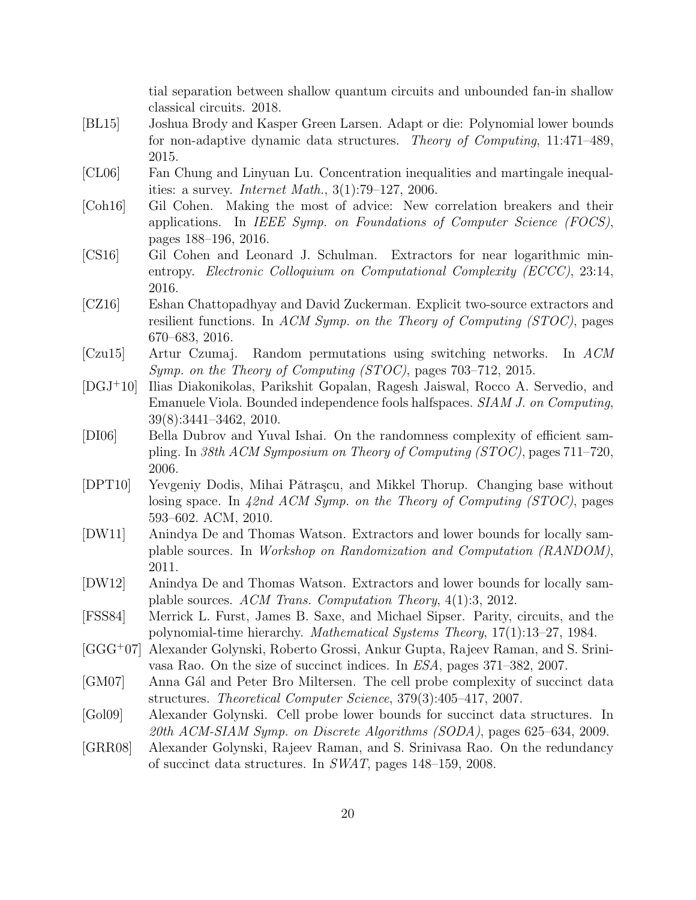tial separation between shallow quantum circuits and unbounded fan-in shallow classical circuits. 2018.

- [BL15] Joshua Brody and Kasper Green Larsen. Adapt or die: Polynomial lower bounds for non-adaptive dynamic data structures. Theory of Computing, 11:471–489, 2015.
- [CL06] Fan Chung and Linyuan Lu. Concentration inequalities and martingale inequalities: a survey. *Internet Math.*,  $3(1)$ :79–127, 2006.
- [Coh16] Gil Cohen. Making the most of advice: New correlation breakers and their applications. In IEEE Symp. on Foundations of Computer Science (FOCS), pages 188–196, 2016.
- [CS16] Gil Cohen and Leonard J. Schulman. Extractors for near logarithmic minentropy. Electronic Colloquium on Computational Complexity (ECCC), 23:14, 2016.
- [CZ16] Eshan Chattopadhyay and David Zuckerman. Explicit two-source extractors and resilient functions. In ACM Symp. on the Theory of Computing (STOC), pages 670–683, 2016.
- [Czu15] Artur Czumaj. Random permutations using switching networks. In ACM Symp. on the Theory of Computing (STOC), pages 703–712, 2015.
- [DGJ<sup>+</sup>10] Ilias Diakonikolas, Parikshit Gopalan, Ragesh Jaiswal, Rocco A. Servedio, and Emanuele Viola. Bounded independence fools halfspaces. SIAM J. on Computing, 39(8):3441–3462, 2010.
- [DI06] Bella Dubrov and Yuval Ishai. On the randomness complexity of efficient sampling. In 38th ACM Symposium on Theory of Computing (STOC), pages 711–720, 2006.
- [DPT10] Yevgeniy Dodis, Mihai Pǎtraşcu, and Mikkel Thorup. Changing base without losing space. In  $42nd$  ACM Symp. on the Theory of Computing (STOC), pages 593–602. ACM, 2010.
- [DW11] Anindya De and Thomas Watson. Extractors and lower bounds for locally samplable sources. In Workshop on Randomization and Computation (RANDOM), 2011.
- [DW12] Anindya De and Thomas Watson. Extractors and lower bounds for locally samplable sources. ACM Trans. Computation Theory, 4(1):3, 2012.
- [FSS84] Merrick L. Furst, James B. Saxe, and Michael Sipser. Parity, circuits, and the polynomial-time hierarchy. Mathematical Systems Theory, 17(1):13–27, 1984.
- [GGG<sup>+</sup>07] Alexander Golynski, Roberto Grossi, Ankur Gupta, Rajeev Raman, and S. Srinivasa Rao. On the size of succinct indices. In ESA, pages 371–382, 2007.
- [GM07] Anna Gál and Peter Bro Miltersen. The cell probe complexity of succinct data structures. Theoretical Computer Science, 379(3):405–417, 2007.
- [Gol09] Alexander Golynski. Cell probe lower bounds for succinct data structures. In 20th ACM-SIAM Symp. on Discrete Algorithms (SODA), pages 625–634, 2009.
- [GRR08] Alexander Golynski, Rajeev Raman, and S. Srinivasa Rao. On the redundancy of succinct data structures. In SWAT, pages 148–159, 2008.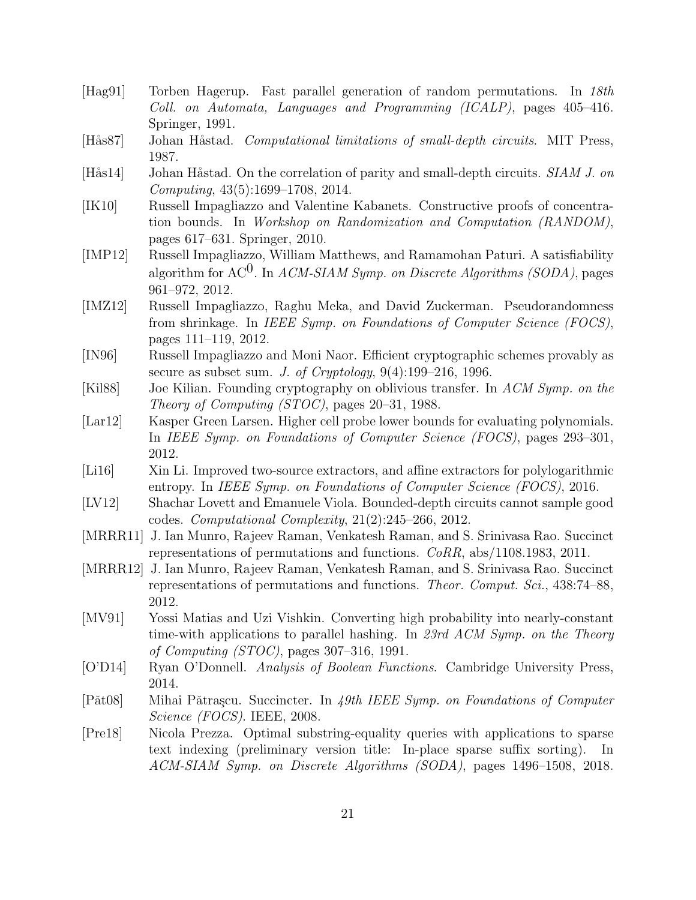- [Hag91] Torben Hagerup. Fast parallel generation of random permutations. In 18th Coll. on Automata, Languages and Programming (ICALP), pages 405–416. Springer, 1991.
- [Hås87] Johan Håstad. *Computational limitations of small-depth circuits*. MIT Press, 1987.
- [Hås14] Johan Håstad. On the correlation of parity and small-depth circuits. SIAM J. on Computing, 43(5):1699–1708, 2014.
- [IK10] Russell Impagliazzo and Valentine Kabanets. Constructive proofs of concentration bounds. In Workshop on Randomization and Computation (RANDOM), pages 617–631. Springer, 2010.
- [IMP12] Russell Impagliazzo, William Matthews, and Ramamohan Paturi. A satisfiability algorithm for AC<sup>0</sup>. In *ACM-SIAM Symp.* on *Discrete Algorithms (SODA)*, pages 961–972, 2012.
- [IMZ12] Russell Impagliazzo, Raghu Meka, and David Zuckerman. Pseudorandomness from shrinkage. In IEEE Symp. on Foundations of Computer Science (FOCS), pages 111–119, 2012.
- [IN96] Russell Impagliazzo and Moni Naor. Efficient cryptographic schemes provably as secure as subset sum. J. of Cryptology,  $9(4):199-216$ , 1996.
- [Kil88] Joe Kilian. Founding cryptography on oblivious transfer. In ACM Symp. on the Theory of Computing (STOC), pages 20–31, 1988.
- [Lar12] Kasper Green Larsen. Higher cell probe lower bounds for evaluating polynomials. In IEEE Symp. on Foundations of Computer Science (FOCS), pages 293–301, 2012.
- [Li16] Xin Li. Improved two-source extractors, and affine extractors for polylogarithmic entropy. In IEEE Symp. on Foundations of Computer Science (FOCS), 2016.
- [LV12] Shachar Lovett and Emanuele Viola. Bounded-depth circuits cannot sample good codes. Computational Complexity, 21(2):245–266, 2012.
- [MRRR11] J. Ian Munro, Rajeev Raman, Venkatesh Raman, and S. Srinivasa Rao. Succinct representations of permutations and functions. CoRR, abs/1108.1983, 2011.
- [MRRR12] J. Ian Munro, Rajeev Raman, Venkatesh Raman, and S. Srinivasa Rao. Succinct representations of permutations and functions. Theor. Comput. Sci., 438:74–88, 2012.
- [MV91] Yossi Matias and Uzi Vishkin. Converting high probability into nearly-constant time-with applications to parallel hashing. In 23rd ACM Symp. on the Theory of Computing (STOC), pages 307–316, 1991.
- [O'D14] Ryan O'Donnell. Analysis of Boolean Functions. Cambridge University Press, 2014.
- [Pǎt08] Mihai Pǎtrașcu. Succincter. In 49th IEEE Symp. on Foundations of Computer Science (FOCS). IEEE, 2008.
- [Pre18] Nicola Prezza. Optimal substring-equality queries with applications to sparse text indexing (preliminary version title: In-place sparse suffix sorting). In ACM-SIAM Symp. on Discrete Algorithms (SODA), pages 1496–1508, 2018.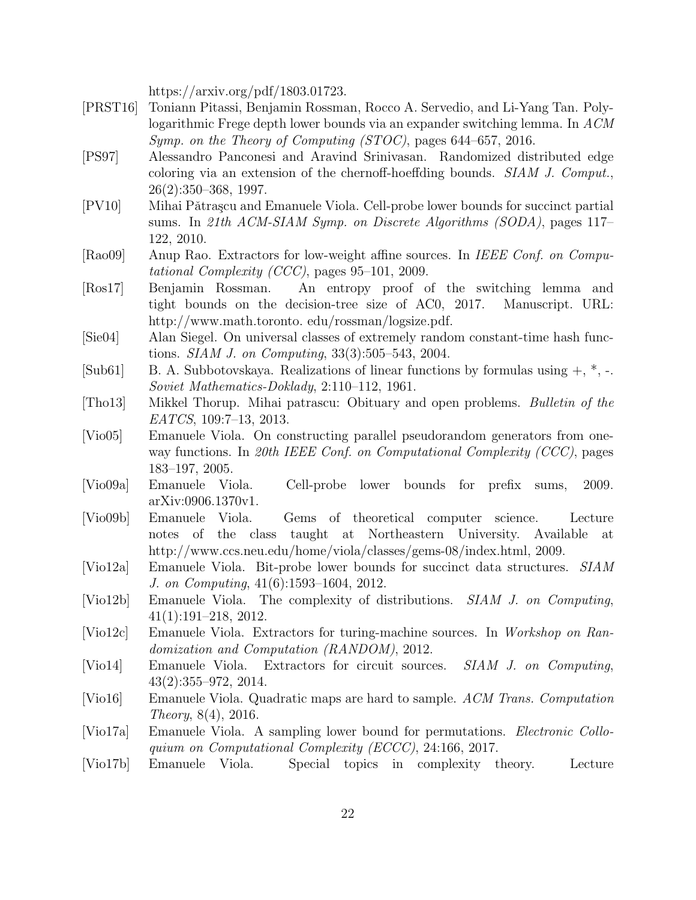https://arxiv.org/pdf/1803.01723.

- [PRST16] Toniann Pitassi, Benjamin Rossman, Rocco A. Servedio, and Li-Yang Tan. Polylogarithmic Frege depth lower bounds via an expander switching lemma. In ACM Symp. on the Theory of Computing (STOC), pages 644–657, 2016.
- [PS97] Alessandro Panconesi and Aravind Srinivasan. Randomized distributed edge coloring via an extension of the chernoff-hoeffding bounds. SIAM J. Comput., 26(2):350–368, 1997.
- [PV10] Mihai Pǎtrașcu and Emanuele Viola. Cell-probe lower bounds for succinct partial sums. In 21th ACM-SIAM Symp. on Discrete Algorithms (SODA), pages 117– 122, 2010.
- [Rao09] Anup Rao. Extractors for low-weight affine sources. In IEEE Conf. on Computational Complexity (CCC), pages 95–101, 2009.
- [Ros17] Benjamin Rossman. An entropy proof of the switching lemma and tight bounds on the decision-tree size of AC0, 2017. Manuscript. URL: http://www.math.toronto. edu/rossman/logsize.pdf.
- [Sie04] Alan Siegel. On universal classes of extremely random constant-time hash functions. SIAM J. on Computing, 33(3):505–543, 2004.
- [Sub61] B. A. Subbotovskaya. Realizations of linear functions by formulas using  $+$ ,  $*$ ,  $-$ . Soviet Mathematics-Doklady, 2:110–112, 1961.
- [Tho13] Mikkel Thorup. Mihai patrascu: Obituary and open problems. Bulletin of the EATCS, 109:7–13, 2013.
- [Vio05] Emanuele Viola. On constructing parallel pseudorandom generators from oneway functions. In 20th IEEE Conf. on Computational Complexity (CCC), pages 183–197, 2005.
- [Vio09a] Emanuele Viola. Cell-probe lower bounds for prefix sums, 2009. arXiv:0906.1370v1.
- [Vio09b] Emanuele Viola. Gems of theoretical computer science. Lecture notes of the class taught at Northeastern University. Available at http://www.ccs.neu.edu/home/viola/classes/gems-08/index.html, 2009.
- [Vio12a] Emanuele Viola. Bit-probe lower bounds for succinct data structures. SIAM J. on Computing, 41(6):1593–1604, 2012.
- [Vio12b] Emanuele Viola. The complexity of distributions. SIAM J. on Computing, 41(1):191–218, 2012.
- [Vio12c] Emanuele Viola. Extractors for turing-machine sources. In Workshop on Randomization and Computation (RANDOM), 2012.
- [Vio14] Emanuele Viola. Extractors for circuit sources. SIAM J. on Computing, 43(2):355–972, 2014.
- [Vio16] Emanuele Viola. Quadratic maps are hard to sample. ACM Trans. Computation Theory, 8(4), 2016.
- [Vio17a] Emanuele Viola. A sampling lower bound for permutations. Electronic Colloquium on Computational Complexity (ECCC), 24:166, 2017.
- [Vio17b] Emanuele Viola. Special topics in complexity theory. Lecture